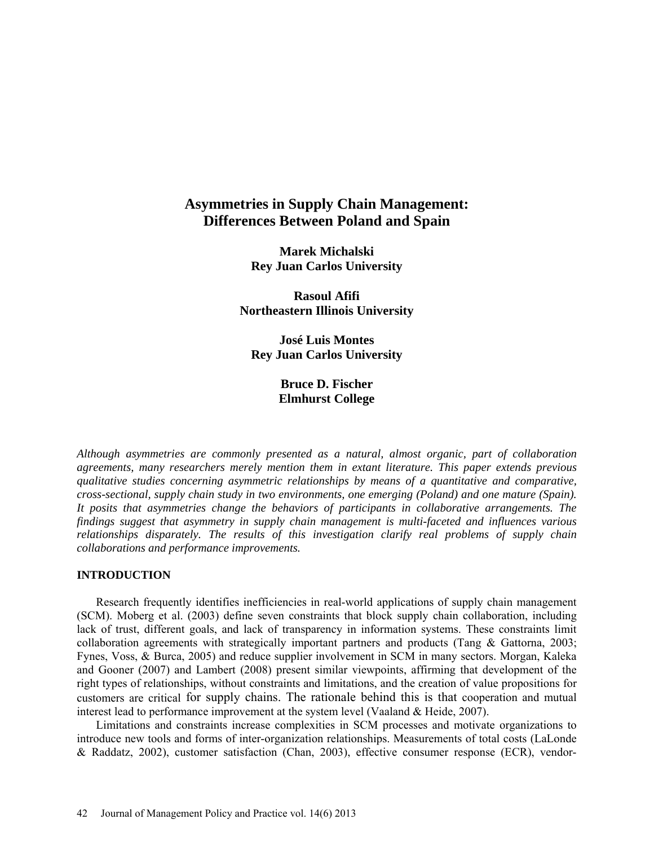# **Asymmetries in Supply Chain Management: Differences Between Poland and Spain**

**Marek Michalski Rey Juan Carlos University** 

**Rasoul Afifi Northeastern Illinois University**

**José Luis Montes Rey Juan Carlos University** 

> **Bruce D. Fischer Elmhurst College**

*Although asymmetries are commonly presented as a natural, almost organic, part of collaboration agreements, many researchers merely mention them in extant literature. This paper extends previous qualitative studies concerning asymmetric relationships by means of a quantitative and comparative, cross-sectional, supply chain study in two environments, one emerging (Poland) and one mature (Spain). It posits that asymmetries change the behaviors of participants in collaborative arrangements. The findings suggest that asymmetry in supply chain management is multi-faceted and influences various relationships disparately. The results of this investigation clarify real problems of supply chain collaborations and performance improvements.*

### **INTRODUCTION**

Research frequently identifies inefficiencies in real-world applications of supply chain management (SCM). Moberg et al. (2003) define seven constraints that block supply chain collaboration, including lack of trust, different goals, and lack of transparency in information systems. These constraints limit collaboration agreements with strategically important partners and products (Tang & Gattorna, 2003; Fynes, Voss, & Burca, 2005) and reduce supplier involvement in SCM in many sectors. Morgan, Kaleka and Gooner (2007) and Lambert (2008) present similar viewpoints, affirming that development of the right types of relationships, without constraints and limitations, and the creation of value propositions for customers are critical for supply chains. The rationale behind this is that cooperation and mutual interest lead to performance improvement at the system level (Vaaland & Heide, 2007).

Limitations and constraints increase complexities in SCM processes and motivate organizations to introduce new tools and forms of inter-organization relationships. Measurements of total costs (LaLonde & Raddatz, 2002), customer satisfaction (Chan, 2003), effective consumer response (ECR), vendor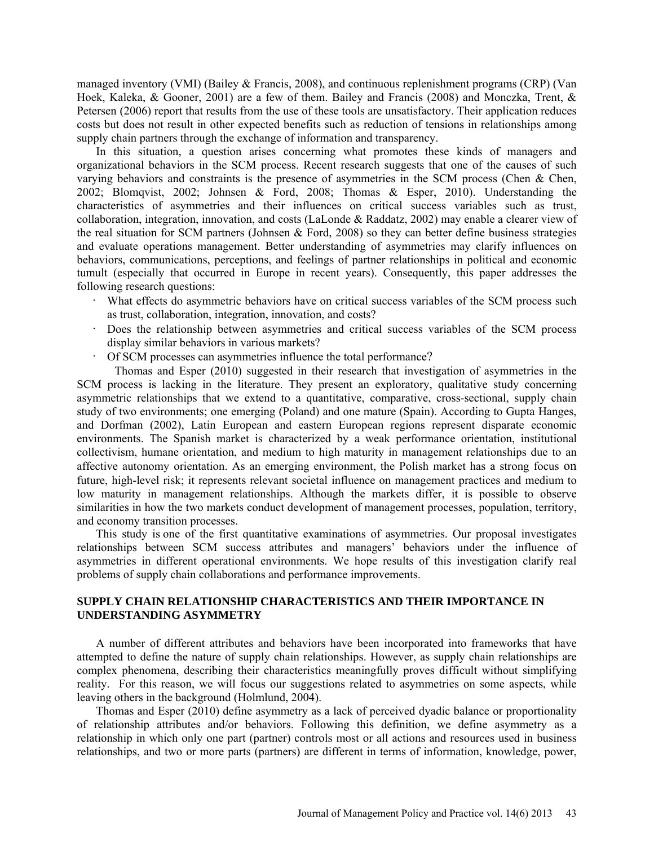managed inventory (VMI) (Bailey & Francis, 2008), and continuous replenishment programs (CRP) (Van Hoek, Kaleka, & Gooner, 2001) are a few of them. Bailey and Francis (2008) and Monczka, Trent, & Petersen (2006) report that results from the use of these tools are unsatisfactory. Their application reduces costs but does not result in other expected benefits such as reduction of tensions in relationships among supply chain partners through the exchange of information and transparency.

In this situation, a question arises concerning what promotes these kinds of managers and organizational behaviors in the SCM process. Recent research suggests that one of the causes of such varying behaviors and constraints is the presence of asymmetries in the SCM process (Chen & Chen, 2002; Blomqvist, 2002; Johnsen & Ford, 2008; Thomas & Esper, 2010). Understanding the characteristics of asymmetries and their influences on critical success variables such as trust, collaboration, integration, innovation, and costs (LaLonde & Raddatz, 2002) may enable a clearer view of the real situation for SCM partners (Johnsen & Ford, 2008) so they can better define business strategies and evaluate operations management. Better understanding of asymmetries may clarify influences on behaviors, communications, perceptions, and feelings of partner relationships in political and economic tumult (especially that occurred in Europe in recent years). Consequently, this paper addresses the following research questions:

- · What effects do asymmetric behaviors have on critical success variables of the SCM process such as trust, collaboration, integration, innovation, and costs?
- Does the relationship between asymmetries and critical success variables of the SCM process display similar behaviors in various markets?
- Of SCM processes can asymmetries influence the total performance?

Thomas and Esper (2010) suggested in their research that investigation of asymmetries in the SCM process is lacking in the literature. They present an exploratory, qualitative study concerning asymmetric relationships that we extend to a quantitative, comparative, cross-sectional, supply chain study of two environments; one emerging (Poland) and one mature (Spain). According to Gupta Hanges, and Dorfman (2002), Latin European and eastern European regions represent disparate economic environments. The Spanish market is characterized by a weak performance orientation, institutional collectivism, humane orientation, and medium to high maturity in management relationships due to an affective autonomy orientation. As an emerging environment, the Polish market has a strong focus on future, high-level risk; it represents relevant societal influence on management practices and medium to low maturity in management relationships. Although the markets differ, it is possible to observe similarities in how the two markets conduct development of management processes, population, territory, and economy transition processes.

This study is one of the first quantitative examinations of asymmetries. Our proposal investigates relationships between SCM success attributes and managers' behaviors under the influence of asymmetries in different operational environments. We hope results of this investigation clarify real problems of supply chain collaborations and performance improvements.

# **SUPPLY CHAIN RELATIONSHIP CHARACTERISTICS AND THEIR IMPORTANCE IN UNDERSTANDING ASYMMETRY**

A number of different attributes and behaviors have been incorporated into frameworks that have attempted to define the nature of supply chain relationships. However, as supply chain relationships are complex phenomena, describing their characteristics meaningfully proves difficult without simplifying reality. For this reason, we will focus our suggestions related to asymmetries on some aspects, while leaving others in the background (Holmlund, 2004).

Thomas and Esper (2010) define asymmetry as a lack of perceived dyadic balance or proportionality of relationship attributes and/or behaviors. Following this definition, we define asymmetry as a relationship in which only one part (partner) controls most or all actions and resources used in business relationships, and two or more parts (partners) are different in terms of information, knowledge, power,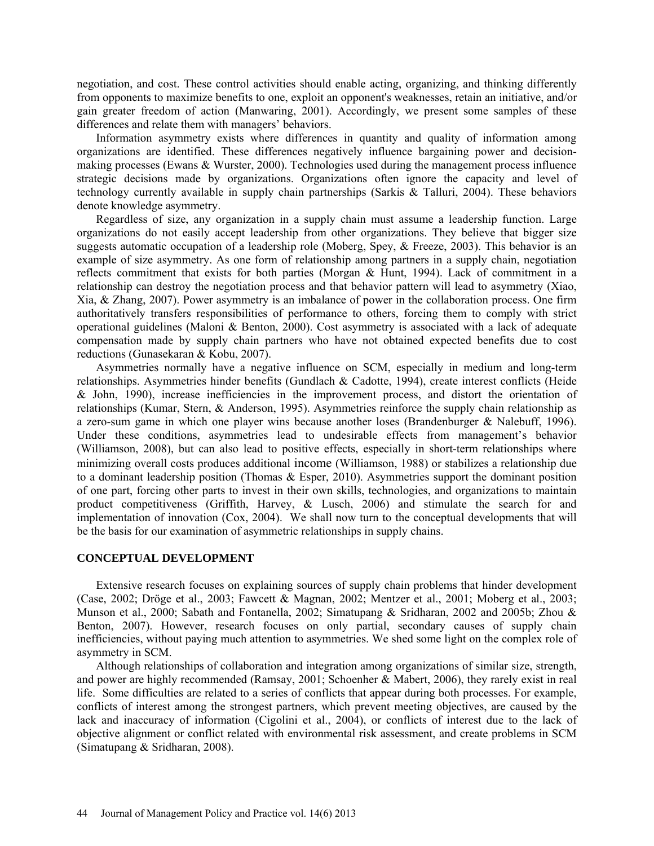negotiation, and cost. These control activities should enable acting, organizing, and thinking differently from opponents to maximize benefits to one, exploit an opponent's weaknesses, retain an initiative, and/or gain greater freedom of action (Manwaring, 2001). Accordingly, we present some samples of these differences and relate them with managers' behaviors.

Information asymmetry exists where differences in quantity and quality of information among organizations are identified. These differences negatively influence bargaining power and decisionmaking processes (Ewans & Wurster, 2000). Technologies used during the management process influence strategic decisions made by organizations. Organizations often ignore the capacity and level of technology currently available in supply chain partnerships (Sarkis & Talluri, 2004). These behaviors denote knowledge asymmetry.

Regardless of size, any organization in a supply chain must assume a leadership function. Large organizations do not easily accept leadership from other organizations. They believe that bigger size suggests automatic occupation of a leadership role (Moberg, Spey, & Freeze, 2003). This behavior is an example of size asymmetry. As one form of relationship among partners in a supply chain, negotiation reflects commitment that exists for both parties (Morgan & Hunt, 1994). Lack of commitment in a relationship can destroy the negotiation process and that behavior pattern will lead to asymmetry (Xiao, Xia, & Zhang, 2007). Power asymmetry is an imbalance of power in the collaboration process. One firm authoritatively transfers responsibilities of performance to others, forcing them to comply with strict operational guidelines (Maloni & Benton, 2000). Cost asymmetry is associated with a lack of adequate compensation made by supply chain partners who have not obtained expected benefits due to cost reductions (Gunasekaran & Kobu, 2007).

Asymmetries normally have a negative influence on SCM, especially in medium and long-term relationships. Asymmetries hinder benefits (Gundlach & Cadotte, 1994), create interest conflicts (Heide & John, 1990), increase inefficiencies in the improvement process, and distort the orientation of relationships (Kumar, Stern, & Anderson, 1995). Asymmetries reinforce the supply chain relationship as a zero-sum game in which one player wins because another loses (Brandenburger & Nalebuff, 1996). Under these conditions, asymmetries lead to undesirable effects from management's behavior (Williamson, 2008), but can also lead to positive effects, especially in short-term relationships where minimizing overall costs produces additional income (Williamson, 1988) or stabilizes a relationship due to a dominant leadership position (Thomas & Esper, 2010). Asymmetries support the dominant position of one part, forcing other parts to invest in their own skills, technologies, and organizations to maintain product competitiveness (Griffith, Harvey, & Lusch, 2006) and stimulate the search for and implementation of innovation (Cox, 2004). We shall now turn to the conceptual developments that will be the basis for our examination of asymmetric relationships in supply chains.

#### **CONCEPTUAL DEVELOPMENT**

Extensive research focuses on explaining sources of supply chain problems that hinder development (Case, 2002; Dröge et al., 2003; Fawcett & Magnan, 2002; Mentzer et al., 2001; Moberg et al., 2003; Munson et al., 2000; Sabath and Fontanella, 2002; Simatupang & Sridharan, 2002 and 2005b; Zhou & Benton, 2007). However, research focuses on only partial, secondary causes of supply chain inefficiencies, without paying much attention to asymmetries. We shed some light on the complex role of asymmetry in SCM.

Although relationships of collaboration and integration among organizations of similar size, strength, and power are highly recommended (Ramsay, 2001; Schoenher & Mabert, 2006), they rarely exist in real life. Some difficulties are related to a series of conflicts that appear during both processes. For example, conflicts of interest among the strongest partners, which prevent meeting objectives, are caused by the lack and inaccuracy of information (Cigolini et al., 2004), or conflicts of interest due to the lack of objective alignment or conflict related with environmental risk assessment, and create problems in SCM (Simatupang & Sridharan, 2008).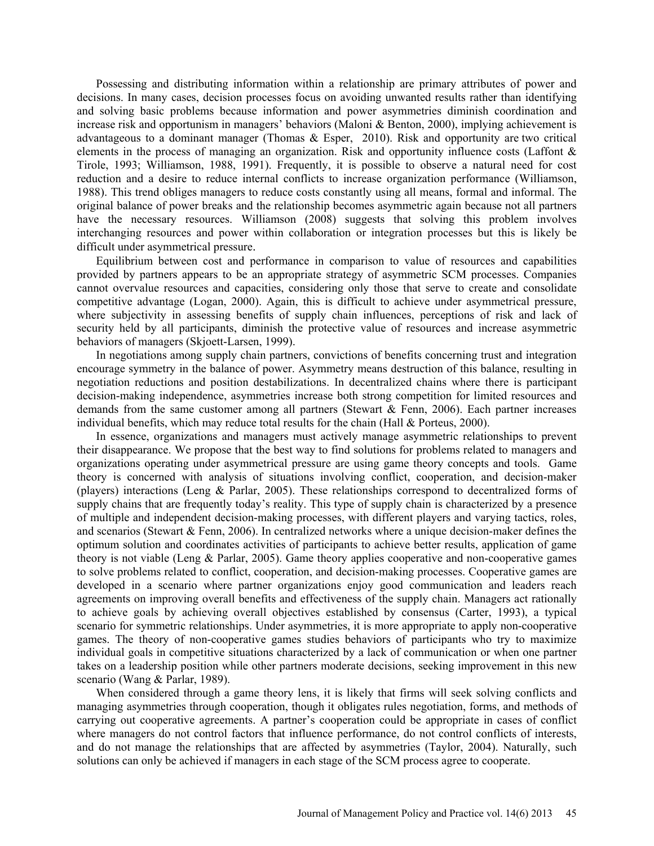Possessing and distributing information within a relationship are primary attributes of power and decisions. In many cases, decision processes focus on avoiding unwanted results rather than identifying and solving basic problems because information and power asymmetries diminish coordination and increase risk and opportunism in managers' behaviors (Maloni & Benton, 2000), implying achievement is advantageous to a dominant manager (Thomas & Esper, 2010). Risk and opportunity are two critical elements in the process of managing an organization. Risk and opportunity influence costs (Laffont & Tirole, 1993; Williamson, 1988, 1991). Frequently, it is possible to observe a natural need for cost reduction and a desire to reduce internal conflicts to increase organization performance (Williamson, 1988). This trend obliges managers to reduce costs constantly using all means, formal and informal. The original balance of power breaks and the relationship becomes asymmetric again because not all partners have the necessary resources. Williamson (2008) suggests that solving this problem involves interchanging resources and power within collaboration or integration processes but this is likely be difficult under asymmetrical pressure.

Equilibrium between cost and performance in comparison to value of resources and capabilities provided by partners appears to be an appropriate strategy of asymmetric SCM processes. Companies cannot overvalue resources and capacities, considering only those that serve to create and consolidate competitive advantage (Logan, 2000). Again, this is difficult to achieve under asymmetrical pressure, where subjectivity in assessing benefits of supply chain influences, perceptions of risk and lack of security held by all participants, diminish the protective value of resources and increase asymmetric behaviors of managers (Skjoett-Larsen, 1999).

In negotiations among supply chain partners, convictions of benefits concerning trust and integration encourage symmetry in the balance of power. Asymmetry means destruction of this balance, resulting in negotiation reductions and position destabilizations. In decentralized chains where there is participant decision-making independence, asymmetries increase both strong competition for limited resources and demands from the same customer among all partners (Stewart  $\&$  Fenn, 2006). Each partner increases individual benefits, which may reduce total results for the chain (Hall & Porteus, 2000).

In essence, organizations and managers must actively manage asymmetric relationships to prevent their disappearance. We propose that the best way to find solutions for problems related to managers and organizations operating under asymmetrical pressure are using game theory concepts and tools. Game theory is concerned with analysis of situations involving conflict, cooperation, and decision-maker (players) interactions (Leng & Parlar, 2005). These relationships correspond to decentralized forms of supply chains that are frequently today's reality. This type of supply chain is characterized by a presence of multiple and independent decision-making processes, with different players and varying tactics, roles, and scenarios (Stewart & Fenn, 2006). In centralized networks where a unique decision-maker defines the optimum solution and coordinates activities of participants to achieve better results, application of game theory is not viable (Leng & Parlar, 2005). Game theory applies cooperative and non-cooperative games to solve problems related to conflict, cooperation, and decision-making processes. Cooperative games are developed in a scenario where partner organizations enjoy good communication and leaders reach agreements on improving overall benefits and effectiveness of the supply chain. Managers act rationally to achieve goals by achieving overall objectives established by consensus (Carter, 1993), a typical scenario for symmetric relationships. Under asymmetries, it is more appropriate to apply non-cooperative games. The theory of non-cooperative games studies behaviors of participants who try to maximize individual goals in competitive situations characterized by a lack of communication or when one partner takes on a leadership position while other partners moderate decisions, seeking improvement in this new scenario (Wang & Parlar, 1989).

When considered through a game theory lens, it is likely that firms will seek solving conflicts and managing asymmetries through cooperation, though it obligates rules negotiation, forms, and methods of carrying out cooperative agreements. A partner's cooperation could be appropriate in cases of conflict where managers do not control factors that influence performance, do not control conflicts of interests, and do not manage the relationships that are affected by asymmetries (Taylor, 2004). Naturally, such solutions can only be achieved if managers in each stage of the SCM process agree to cooperate.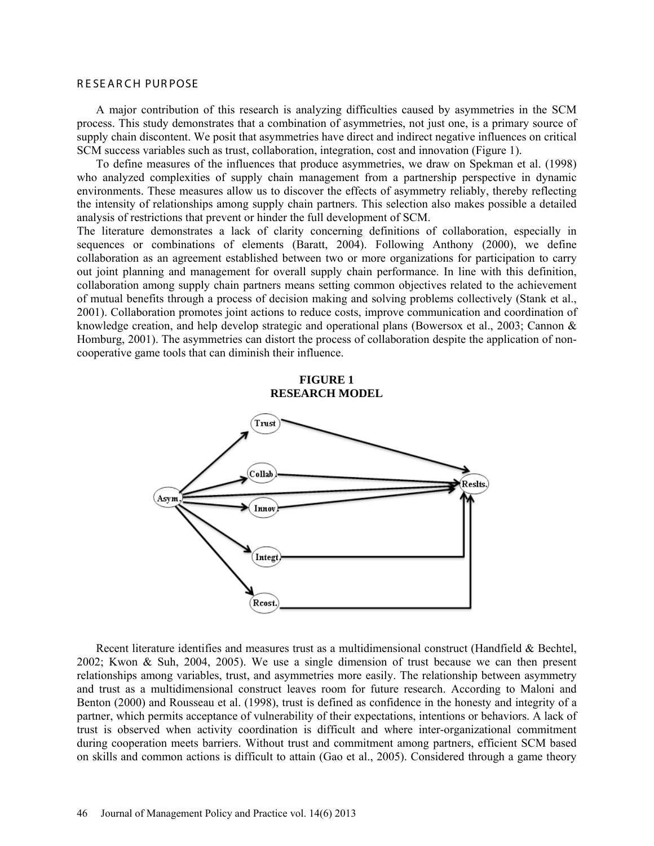#### R E SE AR CH PUR POSE

A major contribution of this research is analyzing difficulties caused by asymmetries in the SCM process. This study demonstrates that a combination of asymmetries, not just one, is a primary source of supply chain discontent. We posit that asymmetries have direct and indirect negative influences on critical SCM success variables such as trust, collaboration, integration, cost and innovation (Figure 1).

To define measures of the influences that produce asymmetries, we draw on Spekman et al. (1998) who analyzed complexities of supply chain management from a partnership perspective in dynamic environments. These measures allow us to discover the effects of asymmetry reliably, thereby reflecting the intensity of relationships among supply chain partners. This selection also makes possible a detailed analysis of restrictions that prevent or hinder the full development of SCM.

The literature demonstrates a lack of clarity concerning definitions of collaboration, especially in sequences or combinations of elements (Baratt, 2004). Following Anthony (2000), we define collaboration as an agreement established between two or more organizations for participation to carry out joint planning and management for overall supply chain performance. In line with this definition, collaboration among supply chain partners means setting common objectives related to the achievement of mutual benefits through a process of decision making and solving problems collectively (Stank et al., 2001). Collaboration promotes joint actions to reduce costs, improve communication and coordination of knowledge creation, and help develop strategic and operational plans (Bowersox et al., 2003; Cannon & Homburg, 2001). The asymmetries can distort the process of collaboration despite the application of noncooperative game tools that can diminish their influence.

#### **FIGURE 1 RESEARCH MODEL**



Recent literature identifies and measures trust as a multidimensional construct (Handfield & Bechtel, 2002; Kwon & Suh, 2004, 2005). We use a single dimension of trust because we can then present relationships among variables, trust, and asymmetries more easily. The relationship between asymmetry and trust as a multidimensional construct leaves room for future research. According to Maloni and Benton (2000) and Rousseau et al. (1998), trust is defined as confidence in the honesty and integrity of a partner, which permits acceptance of vulnerability of their expectations, intentions or behaviors. A lack of trust is observed when activity coordination is difficult and where inter-organizational commitment during cooperation meets barriers. Without trust and commitment among partners, efficient SCM based on skills and common actions is difficult to attain (Gao et al., 2005). Considered through a game theory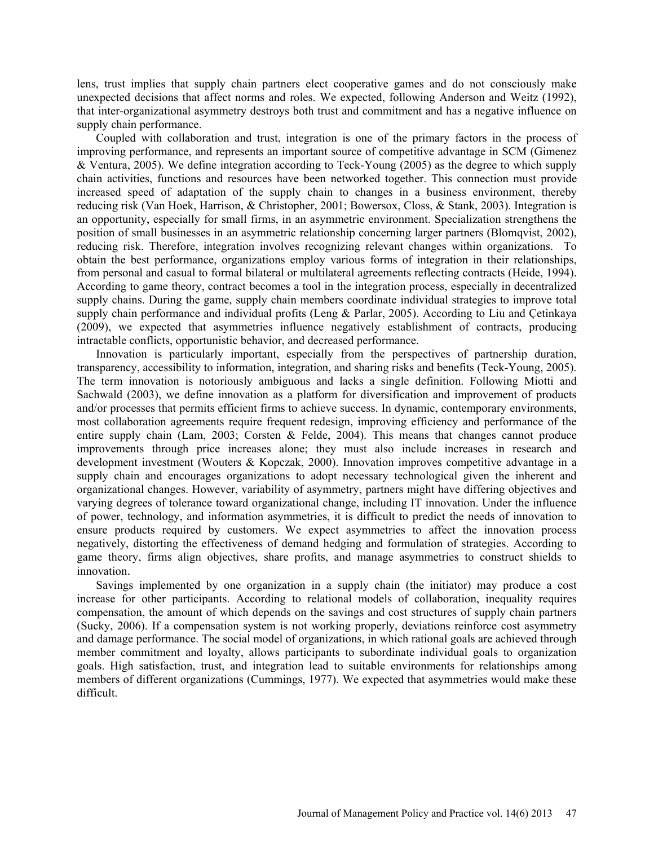lens, trust implies that supply chain partners elect cooperative games and do not consciously make unexpected decisions that affect norms and roles. We expected, following Anderson and Weitz (1992), that inter-organizational asymmetry destroys both trust and commitment and has a negative influence on supply chain performance.

Coupled with collaboration and trust, integration is one of the primary factors in the process of improving performance, and represents an important source of competitive advantage in SCM (Gimenez & Ventura, 2005). We define integration according to Teck-Young (2005) as the degree to which supply chain activities, functions and resources have been networked together. This connection must provide increased speed of adaptation of the supply chain to changes in a business environment, thereby reducing risk (Van Hoek, Harrison, & Christopher, 2001; Bowersox, Closs, & Stank, 2003). Integration is an opportunity, especially for small firms, in an asymmetric environment. Specialization strengthens the position of small businesses in an asymmetric relationship concerning larger partners (Blomqvist, 2002), reducing risk. Therefore, integration involves recognizing relevant changes within organizations. To obtain the best performance, organizations employ various forms of integration in their relationships, from personal and casual to formal bilateral or multilateral agreements reflecting contracts (Heide, 1994). According to game theory, contract becomes a tool in the integration process, especially in decentralized supply chains. During the game, supply chain members coordinate individual strategies to improve total supply chain performance and individual profits (Leng & Parlar, 2005). According to Liu and Çetinkaya (2009), we expected that asymmetries influence negatively establishment of contracts, producing intractable conflicts, opportunistic behavior, and decreased performance.

Innovation is particularly important, especially from the perspectives of partnership duration, transparency, accessibility to information, integration, and sharing risks and benefits (Teck-Young, 2005). The term innovation is notoriously ambiguous and lacks a single definition. Following Miotti and Sachwald (2003), we define innovation as a platform for diversification and improvement of products and/or processes that permits efficient firms to achieve success. In dynamic, contemporary environments, most collaboration agreements require frequent redesign, improving efficiency and performance of the entire supply chain (Lam, 2003; Corsten & Felde, 2004). This means that changes cannot produce improvements through price increases alone; they must also include increases in research and development investment (Wouters & Kopczak, 2000). Innovation improves competitive advantage in a supply chain and encourages organizations to adopt necessary technological given the inherent and organizational changes. However, variability of asymmetry, partners might have differing objectives and varying degrees of tolerance toward organizational change, including IT innovation. Under the influence of power, technology, and information asymmetries, it is difficult to predict the needs of innovation to ensure products required by customers. We expect asymmetries to affect the innovation process negatively, distorting the effectiveness of demand hedging and formulation of strategies. According to game theory, firms align objectives, share profits, and manage asymmetries to construct shields to innovation.

Savings implemented by one organization in a supply chain (the initiator) may produce a cost increase for other participants. According to relational models of collaboration, inequality requires compensation, the amount of which depends on the savings and cost structures of supply chain partners (Sucky, 2006). If a compensation system is not working properly, deviations reinforce cost asymmetry and damage performance. The social model of organizations, in which rational goals are achieved through member commitment and loyalty, allows participants to subordinate individual goals to organization goals. High satisfaction, trust, and integration lead to suitable environments for relationships among members of different organizations (Cummings, 1977). We expected that asymmetries would make these difficult.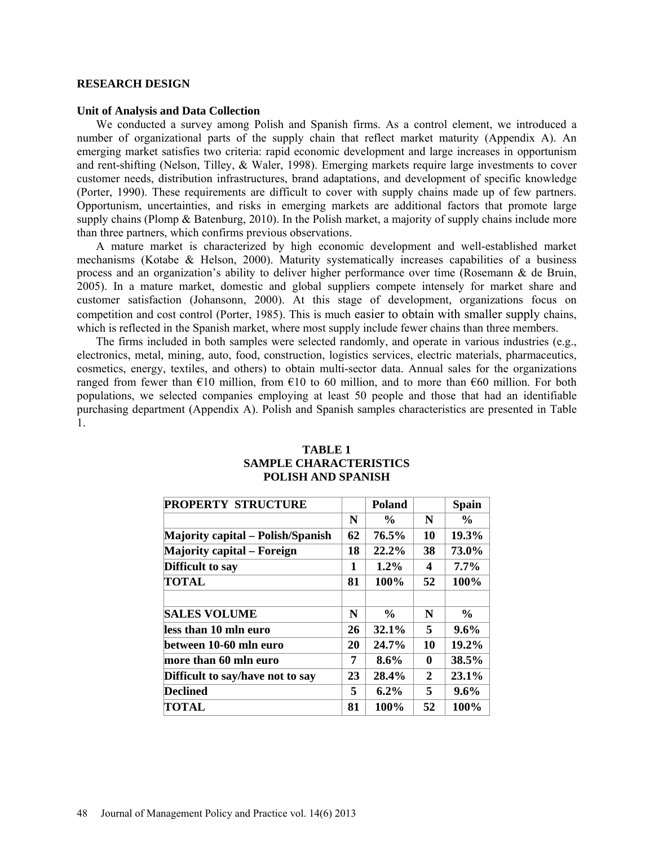#### **RESEARCH DESIGN**

#### **Unit of Analysis and Data Collection**

We conducted a survey among Polish and Spanish firms. As a control element, we introduced a number of organizational parts of the supply chain that reflect market maturity (Appendix A). An emerging market satisfies two criteria: rapid economic development and large increases in opportunism and rent-shifting (Nelson, Tilley, & Waler, 1998). Emerging markets require large investments to cover customer needs, distribution infrastructures, brand adaptations, and development of specific knowledge (Porter, 1990). These requirements are difficult to cover with supply chains made up of few partners. Opportunism, uncertainties, and risks in emerging markets are additional factors that promote large supply chains (Plomp & Batenburg, 2010). In the Polish market, a majority of supply chains include more than three partners, which confirms previous observations.

A mature market is characterized by high economic development and well-established market mechanisms (Kotabe & Helson, 2000). Maturity systematically increases capabilities of a business process and an organization's ability to deliver higher performance over time (Rosemann & de Bruin, 2005). In a mature market, domestic and global suppliers compete intensely for market share and customer satisfaction (Johansonn, 2000). At this stage of development, organizations focus on competition and cost control (Porter, 1985). This is much easier to obtain with smaller supply chains, which is reflected in the Spanish market, where most supply include fewer chains than three members.

The firms included in both samples were selected randomly, and operate in various industries (e.g., electronics, metal, mining, auto, food, construction, logistics services, electric materials, pharmaceutics, cosmetics, energy, textiles, and others) to obtain multi-sector data. Annual sales for the organizations ranged from fewer than  $\epsilon$ 10 million, from  $\epsilon$ 10 to 60 million, and to more than  $\epsilon$ 60 million. For both populations, we selected companies employing at least 50 people and those that had an identifiable purchasing department (Appendix A). Polish and Spanish samples characteristics are presented in Table 1.

| <b>PROPERTY STRUCTURE</b>         |    | Poland        |                | <b>Spain</b>  |
|-----------------------------------|----|---------------|----------------|---------------|
|                                   | N  | $\frac{6}{6}$ | N              | $\frac{6}{9}$ |
| Majority capital – Polish/Spanish | 62 | 76.5%         | 10             | 19.3%         |
| <b>Majority capital – Foreign</b> | 18 | 22.2%         | 38             | 73.0%         |
| Difficult to say                  | 1  | $1.2\%$       | 4              | $7.7\%$       |
| TOTAL                             | 81 | 100%          | 52             | 100%          |
| <b>SALES VOLUME</b>               | N  | $\frac{0}{0}$ | N              | $\frac{6}{9}$ |
| less than 10 mln euro             | 26 | 32.1%         | 5              | $9.6\%$       |
| between 10-60 mln euro            | 20 | 24.7%         | 10             | 19.2%         |
| more than 60 mln euro             | 7  | $8.6\%$       | 0              | 38.5%         |
| Difficult to say/have not to say  | 23 | 28.4%         | $\overline{2}$ | 23.1%         |
| <b>Declined</b>                   | 5  | $6.2\%$       | 5              | $9.6\%$       |
| TOTAL                             | 81 | 100%          | 52             | 100%          |

# **TABLE 1 SAMPLE CHARACTERISTICS POLISH AND SPANISH**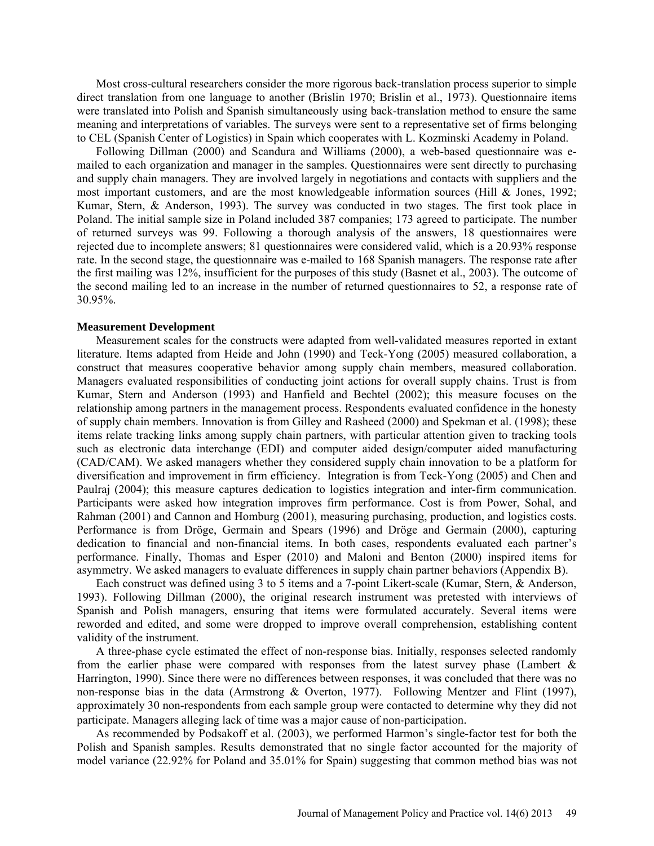Most cross-cultural researchers consider the more rigorous back-translation process superior to simple direct translation from one language to another (Brislin 1970; Brislin et al., 1973). Questionnaire items were translated into Polish and Spanish simultaneously using back-translation method to ensure the same meaning and interpretations of variables. The surveys were sent to a representative set of firms belonging to CEL (Spanish Center of Logistics) in Spain which cooperates with L. Kozminski Academy in Poland.

Following Dillman (2000) and Scandura and Williams (2000), a web-based questionnaire was emailed to each organization and manager in the samples. Questionnaires were sent directly to purchasing and supply chain managers. They are involved largely in negotiations and contacts with suppliers and the most important customers, and are the most knowledgeable information sources (Hill & Jones, 1992; Kumar, Stern, & Anderson, 1993). The survey was conducted in two stages. The first took place in Poland. The initial sample size in Poland included 387 companies; 173 agreed to participate. The number of returned surveys was 99. Following a thorough analysis of the answers, 18 questionnaires were rejected due to incomplete answers; 81 questionnaires were considered valid, which is a 20.93% response rate. In the second stage, the questionnaire was e-mailed to 168 Spanish managers. The response rate after the first mailing was 12%, insufficient for the purposes of this study (Basnet et al., 2003). The outcome of the second mailing led to an increase in the number of returned questionnaires to 52, a response rate of 30.95%.

#### **Measurement Development**

Measurement scales for the constructs were adapted from well-validated measures reported in extant literature. Items adapted from Heide and John (1990) and Teck-Yong (2005) measured collaboration, a construct that measures cooperative behavior among supply chain members, measured collaboration. Managers evaluated responsibilities of conducting joint actions for overall supply chains. Trust is from Kumar, Stern and Anderson (1993) and Hanfield and Bechtel (2002); this measure focuses on the relationship among partners in the management process. Respondents evaluated confidence in the honesty of supply chain members. Innovation is from Gilley and Rasheed (2000) and Spekman et al. (1998); these items relate tracking links among supply chain partners, with particular attention given to tracking tools such as electronic data interchange (EDI) and computer aided design/computer aided manufacturing (CAD/CAM). We asked managers whether they considered supply chain innovation to be a platform for diversification and improvement in firm efficiency. Integration is from Teck-Yong (2005) and Chen and Paulraj (2004); this measure captures dedication to logistics integration and inter-firm communication. Participants were asked how integration improves firm performance. Cost is from Power, Sohal, and Rahman (2001) and Cannon and Homburg (2001), measuring purchasing, production, and logistics costs. Performance is from Dröge, Germain and Spears (1996) and Dröge and Germain (2000), capturing dedication to financial and non-financial items. In both cases, respondents evaluated each partner's performance. Finally, Thomas and Esper (2010) and Maloni and Benton (2000) inspired items for asymmetry. We asked managers to evaluate differences in supply chain partner behaviors (Appendix B).

Each construct was defined using 3 to 5 items and a 7-point Likert-scale (Kumar, Stern, & Anderson, 1993). Following Dillman (2000), the original research instrument was pretested with interviews of Spanish and Polish managers, ensuring that items were formulated accurately. Several items were reworded and edited, and some were dropped to improve overall comprehension, establishing content validity of the instrument.

A three-phase cycle estimated the effect of non-response bias. Initially, responses selected randomly from the earlier phase were compared with responses from the latest survey phase (Lambert & Harrington, 1990). Since there were no differences between responses, it was concluded that there was no non-response bias in the data (Armstrong & Overton, 1977). Following Mentzer and Flint (1997), approximately 30 non-respondents from each sample group were contacted to determine why they did not participate. Managers alleging lack of time was a major cause of non-participation.

As recommended by Podsakoff et al. (2003), we performed Harmon's single-factor test for both the Polish and Spanish samples. Results demonstrated that no single factor accounted for the majority of model variance (22.92% for Poland and 35.01% for Spain) suggesting that common method bias was not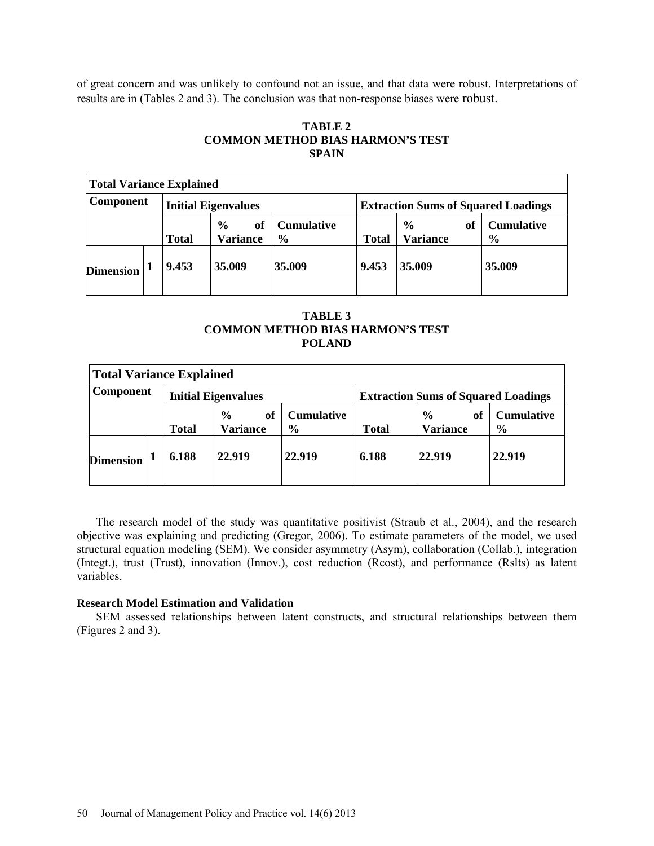of great concern and was unlikely to confound not an issue, and that data were robust. Interpretations of results are in (Tables 2 and 3). The conclusion was that non-response biases were robust.

## **TABLE 2 COMMON METHOD BIAS HARMON'S TEST SPAIN**

| <b>Total Variance Explained</b> |  |              |                                        |                                    |                                            |                                        |                                    |  |
|---------------------------------|--|--------------|----------------------------------------|------------------------------------|--------------------------------------------|----------------------------------------|------------------------------------|--|
| <b>Component</b>                |  |              | <b>Initial Eigenvalues</b>             |                                    | <b>Extraction Sums of Squared Loadings</b> |                                        |                                    |  |
|                                 |  | <b>Total</b> | $\frac{6}{9}$<br>of<br><b>Variance</b> | <b>Cumulative</b><br>$\frac{6}{6}$ | <b>Total</b>                               | $\frac{6}{6}$<br>of<br><b>Variance</b> | <b>Cumulative</b><br>$\frac{6}{6}$ |  |
| <b>Dimension</b>                |  | 9.453        | 35.009                                 | 35.009                             | 9.453                                      | 35.009                                 | 35.009                             |  |

| <b>TABLE 3</b>                   |
|----------------------------------|
| COMMON METHOD BIAS HARMON'S TEST |
| <b>POLAND</b>                    |

| Total Variance Explained                       |  |                                            |                                        |                                    |              |                                  |                                    |  |
|------------------------------------------------|--|--------------------------------------------|----------------------------------------|------------------------------------|--------------|----------------------------------|------------------------------------|--|
| <b>Component</b><br><b>Initial Eigenvalues</b> |  | <b>Extraction Sums of Squared Loadings</b> |                                        |                                    |              |                                  |                                    |  |
|                                                |  | <b>Total</b>                               | $\frac{6}{9}$<br>of<br><b>Variance</b> | <b>Cumulative</b><br>$\frac{6}{9}$ | <b>Total</b> | $\frac{6}{9}$<br><b>Variance</b> | <b>Cumulative</b><br>$\frac{6}{9}$ |  |
| <b>Dimension</b>                               |  | 6.188                                      | 22.919                                 | 22.919                             | 6.188        | 22.919                           | 22.919                             |  |

The research model of the study was quantitative positivist (Straub et al., 2004), and the research objective was explaining and predicting (Gregor, 2006). To estimate parameters of the model, we used structural equation modeling (SEM). We consider asymmetry (Asym), collaboration (Collab.), integration (Integt.), trust (Trust), innovation (Innov.), cost reduction (Rcost), and performance (Rslts) as latent variables.

### **Research Model Estimation and Validation**

SEM assessed relationships between latent constructs, and structural relationships between them (Figures 2 and 3).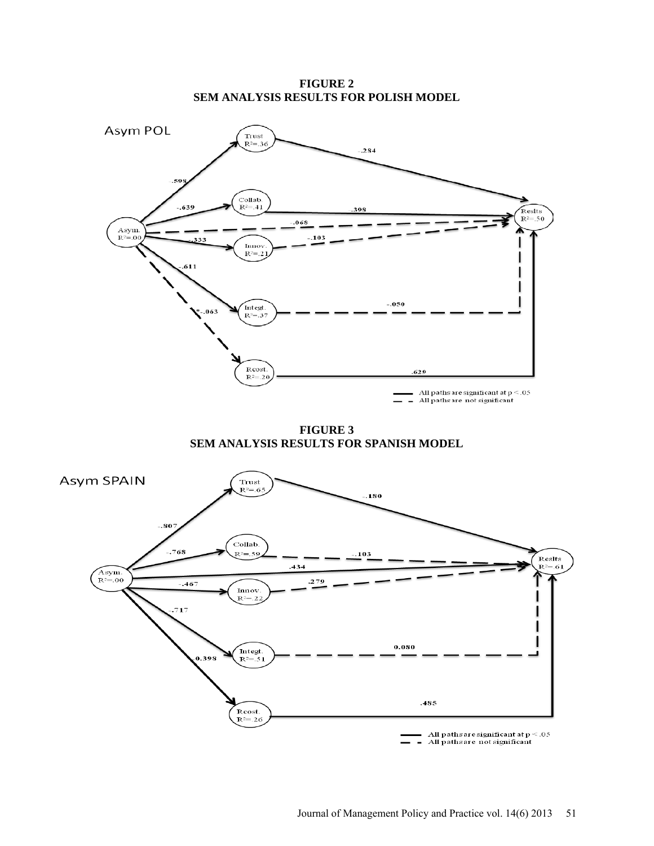**FIGURE 2 SEM ANALYSIS RESULTS FOR POLISH MODEL**



**FIGURE 3 SEM ANALYSIS RESULTS FOR SPANISH MODEL**

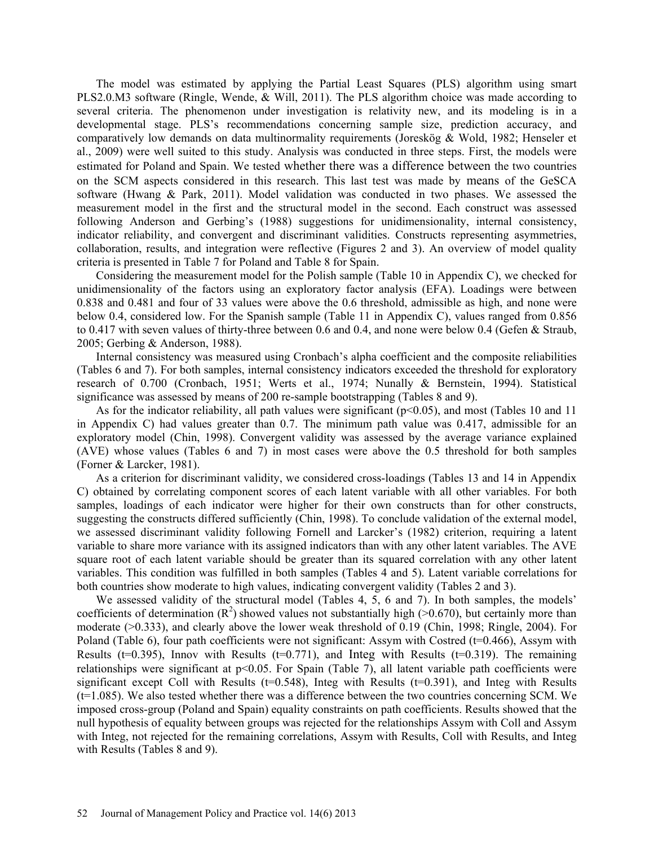The model was estimated by applying the Partial Least Squares (PLS) algorithm using smart PLS2.0.M3 software (Ringle, Wende, & Will, 2011). The PLS algorithm choice was made according to several criteria. The phenomenon under investigation is relativity new, and its modeling is in a developmental stage. PLS's recommendations concerning sample size, prediction accuracy, and comparatively low demands on data multinormality requirements (Joreskög & Wold, 1982; Henseler et al., 2009) were well suited to this study. Analysis was conducted in three steps. First, the models were estimated for Poland and Spain. We tested whether there was a difference between the two countries on the SCM aspects considered in this research. This last test was made by means of the GeSCA software (Hwang & Park, 2011). Model validation was conducted in two phases. We assessed the measurement model in the first and the structural model in the second. Each construct was assessed following Anderson and Gerbing's (1988) suggestions for unidimensionality, internal consistency, indicator reliability, and convergent and discriminant validities. Constructs representing asymmetries, collaboration, results, and integration were reflective (Figures 2 and 3). An overview of model quality criteria is presented in Table 7 for Poland and Table 8 for Spain.

Considering the measurement model for the Polish sample (Table 10 in Appendix C), we checked for unidimensionality of the factors using an exploratory factor analysis (EFA). Loadings were between 0.838 and 0.481 and four of 33 values were above the 0.6 threshold, admissible as high, and none were below 0.4, considered low. For the Spanish sample (Table 11 in Appendix C), values ranged from 0.856 to 0.417 with seven values of thirty-three between 0.6 and 0.4, and none were below 0.4 (Gefen & Straub, 2005; Gerbing & Anderson, 1988).

Internal consistency was measured using Cronbach's alpha coefficient and the composite reliabilities (Tables 6 and 7). For both samples, internal consistency indicators exceeded the threshold for exploratory research of 0.700 (Cronbach, 1951; Werts et al., 1974; Nunally & Bernstein, 1994). Statistical significance was assessed by means of 200 re-sample bootstrapping (Tables 8 and 9).

As for the indicator reliability, all path values were significant ( $p<0.05$ ), and most (Tables 10 and 11 in Appendix C) had values greater than 0.7. The minimum path value was 0.417, admissible for an exploratory model (Chin, 1998). Convergent validity was assessed by the average variance explained (AVE) whose values (Tables 6 and 7) in most cases were above the 0.5 threshold for both samples (Forner & Larcker, 1981).

As a criterion for discriminant validity, we considered cross-loadings (Tables 13 and 14 in Appendix C) obtained by correlating component scores of each latent variable with all other variables. For both samples, loadings of each indicator were higher for their own constructs than for other constructs, suggesting the constructs differed sufficiently (Chin, 1998). To conclude validation of the external model, we assessed discriminant validity following Fornell and Larcker's (1982) criterion, requiring a latent variable to share more variance with its assigned indicators than with any other latent variables. The AVE square root of each latent variable should be greater than its squared correlation with any other latent variables. This condition was fulfilled in both samples (Tables 4 and 5). Latent variable correlations for both countries show moderate to high values, indicating convergent validity (Tables 2 and 3).

We assessed validity of the structural model (Tables 4, 5, 6 and 7). In both samples, the models' coefficients of determination  $(R^2)$  showed values not substantially high (>0.670), but certainly more than moderate (>0.333), and clearly above the lower weak threshold of 0.19 (Chin, 1998; Ringle, 2004). For Poland (Table 6), four path coefficients were not significant: Assym with Costred (t=0.466), Assym with Results ( $t=0.395$ ), Innov with Results ( $t=0.771$ ), and Integ with Results ( $t=0.319$ ). The remaining relationships were significant at p<0.05. For Spain (Table 7), all latent variable path coefficients were significant except Coll with Results ( $t=0.548$ ), Integ with Results ( $t=0.391$ ), and Integ with Results  $(t=1.085)$ . We also tested whether there was a difference between the two countries concerning SCM. We imposed cross-group (Poland and Spain) equality constraints on path coefficients. Results showed that the null hypothesis of equality between groups was rejected for the relationships Assym with Coll and Assym with Integ, not rejected for the remaining correlations, Assym with Results, Coll with Results, and Integ with Results (Tables 8 and 9).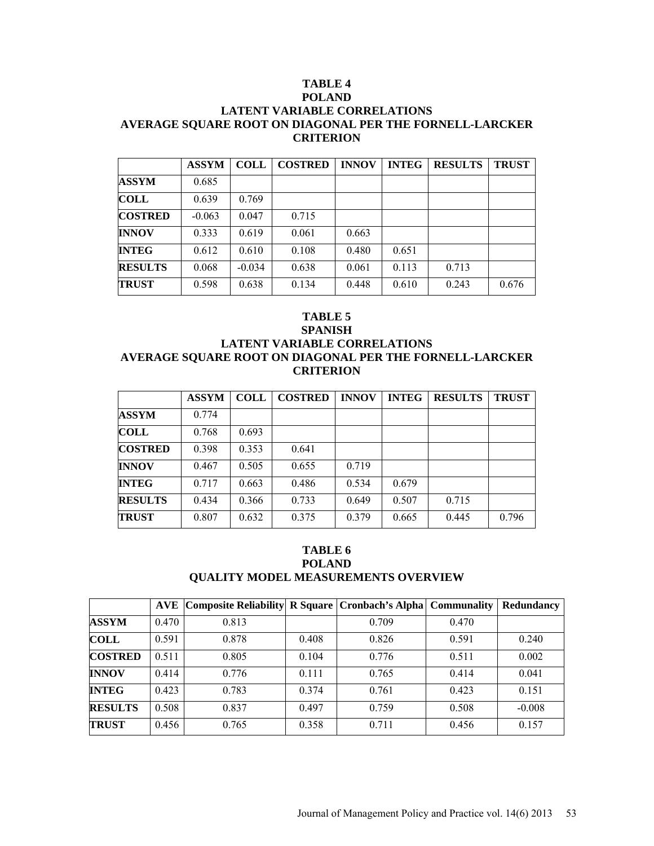# **TABLE 4**

## **POLAND LATENT VARIABLE CORRELATIONS AVERAGE SQUARE ROOT ON DIAGONAL PER THE FORNELL-LARCKER CRITERION**

|                | <b>ASSYM</b> | <b>COLL</b> | <b>COSTRED</b> | <b>INNOV</b> | <b>INTEG</b> | <b>RESULTS</b> | <b>TRUST</b> |
|----------------|--------------|-------------|----------------|--------------|--------------|----------------|--------------|
| <b>ASSYM</b>   | 0.685        |             |                |              |              |                |              |
| <b>COLL</b>    | 0.639        | 0.769       |                |              |              |                |              |
| <b>COSTRED</b> | $-0.063$     | 0.047       | 0.715          |              |              |                |              |
| <b>INNOV</b>   | 0.333        | 0.619       | 0.061          | 0.663        |              |                |              |
| <b>INTEG</b>   | 0.612        | 0.610       | 0.108          | 0.480        | 0.651        |                |              |
| <b>RESULTS</b> | 0.068        | $-0.034$    | 0.638          | 0.061        | 0.113        | 0.713          |              |
| <b>TRUST</b>   | 0.598        | 0.638       | 0.134          | 0.448        | 0.610        | 0.243          | 0.676        |

# **TABLE 5**

# **SPANISH LATENT VARIABLE CORRELATIONS AVERAGE SQUARE ROOT ON DIAGONAL PER THE FORNELL-LARCKER CRITERION**

|                | <b>ASSYM</b> | <b>COLL</b> | <b>COSTRED</b> | <b>INNOV</b> | <b>INTEG</b> | <b>RESULTS</b> | <b>TRUST</b> |
|----------------|--------------|-------------|----------------|--------------|--------------|----------------|--------------|
| <b>ASSYM</b>   | 0.774        |             |                |              |              |                |              |
| <b>COLL</b>    | 0.768        | 0.693       |                |              |              |                |              |
| <b>COSTRED</b> | 0.398        | 0.353       | 0.641          |              |              |                |              |
| <b>INNOV</b>   | 0.467        | 0.505       | 0.655          | 0.719        |              |                |              |
| <b>INTEG</b>   | 0.717        | 0.663       | 0.486          | 0.534        | 0.679        |                |              |
| <b>RESULTS</b> | 0.434        | 0.366       | 0.733          | 0.649        | 0.507        | 0.715          |              |
| <b>TRUST</b>   | 0.807        | 0.632       | 0.375          | 0.379        | 0.665        | 0.445          | 0.796        |

# **TABLE 6 POLAND QUALITY MODEL MEASUREMENTS OVERVIEW**

|                | <b>AVE</b> | Composite Reliability  R Square   Cronbach's Alpha   Communality |       |       |       | Redundancy |
|----------------|------------|------------------------------------------------------------------|-------|-------|-------|------------|
| <b>ASSYM</b>   | 0.470      | 0.813                                                            |       | 0.709 | 0.470 |            |
| <b>COLL</b>    | 0.591      | 0.878                                                            | 0.408 | 0.826 | 0.591 | 0.240      |
| <b>COSTRED</b> | 0.511      | 0.805                                                            | 0.104 | 0.776 | 0.511 | 0.002      |
| <b>INNOV</b>   | 0.414      | 0.776                                                            | 0.111 | 0.765 | 0.414 | 0.041      |
| <b>INTEG</b>   | 0.423      | 0.783                                                            | 0.374 | 0.761 | 0.423 | 0.151      |
| <b>RESULTS</b> | 0.508      | 0.837                                                            | 0.497 | 0.759 | 0.508 | $-0.008$   |
| <b>TRUST</b>   | 0.456      | 0.765                                                            | 0.358 | 0.711 | 0.456 | 0.157      |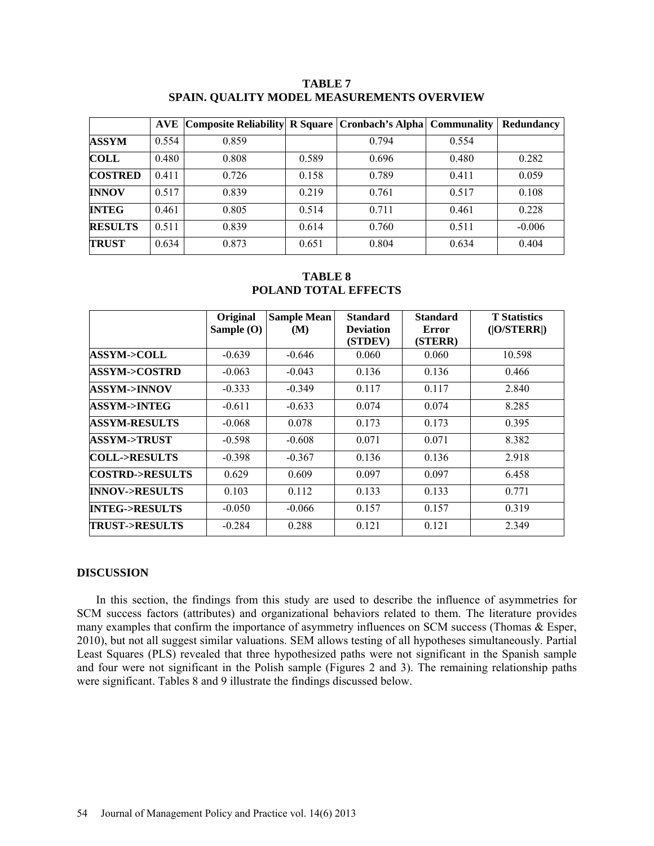|                | <b>AVE</b> | Composite Reliability  R Square   Cronbach's Alpha   Communality |       |       |       | Redundancy |
|----------------|------------|------------------------------------------------------------------|-------|-------|-------|------------|
| <b>ASSYM</b>   | 0.554      | 0.859                                                            |       | 0.794 | 0.554 |            |
| <b>COLL</b>    | 0.480      | 0.808                                                            | 0.589 | 0.696 | 0.480 | 0.282      |
| <b>COSTRED</b> | 0.411      | 0.726                                                            | 0.158 | 0.789 | 0.411 | 0.059      |
| <b>INNOV</b>   | 0.517      | 0.839                                                            | 0.219 | 0.761 | 0.517 | 0.108      |
| <b>INTEG</b>   | 0.461      | 0.805                                                            | 0.514 | 0.711 | 0.461 | 0.228      |
| <b>RESULTS</b> | 0.511      | 0.839                                                            | 0.614 | 0.760 | 0.511 | $-0.006$   |
| <b>TRUST</b>   | 0.634      | 0.873                                                            | 0.651 | 0.804 | 0.634 | 0.404      |

**TABLE 7 SPAIN. QUALITY MODEL MEASUREMENTS OVERVIEW**

**TABLE 8 POLAND TOTAL EFFECTS**

|                           | Original     | <b>Sample Mean</b> | <b>Standard</b>             | <b>Standard</b>  | <b>T</b> Statistics |
|---------------------------|--------------|--------------------|-----------------------------|------------------|---------------------|
|                           | Sample $(O)$ | (M)                | <b>Deviation</b><br>(STDEV) | Error<br>(STERR) | ( O/STERR )         |
| <b>ASSYM-&gt;COLL</b>     | $-0.639$     | $-0.646$           | 0.060                       | 0.060            | 10.598              |
| <b>ASSYM-&gt;COSTRD</b>   | $-0.063$     | $-0.043$           | 0.136                       | 0.136            | 0.466               |
| <b>ASSYM-&gt;INNOV</b>    | $-0.333$     | $-0.349$           | 0.117                       | 0.117            | 2.840               |
| ASSYM->INTEG              | $-0.611$     | $-0.633$           | 0.074                       | 0.074            | 8.285               |
| <b>ASSYM-RESULTS</b>      | $-0.068$     | 0.078              | 0.173                       | 0.173            | 0.395               |
| <b>ASSYM-&gt;TRUST</b>    | $-0.598$     | $-0.608$           | 0.071                       | 0.071            | 8.382               |
| <b>COLL-&gt;RESULTS</b>   | $-0.398$     | $-0.367$           | 0.136                       | 0.136            | 2.918               |
| <b>COSTRD-&gt;RESULTS</b> | 0.629        | 0.609              | 0.097                       | 0.097            | 6.458               |
| <b>INNOV-&gt;RESULTS</b>  | 0.103        | 0.112              | 0.133                       | 0.133            | 0.771               |
| <b>INTEG-&gt;RESULTS</b>  | $-0.050$     | $-0.066$           | 0.157                       | 0.157            | 0.319               |
| <b>TRUST-&gt;RESULTS</b>  | $-0.284$     | 0.288              | 0.121                       | 0.121            | 2.349               |

### **DISCUSSION**

In this section, the findings from this study are used to describe the influence of asymmetries for SCM success factors (attributes) and organizational behaviors related to them. The literature provides many examples that confirm the importance of asymmetry influences on SCM success (Thomas & Esper, 2010), but not all suggest similar valuations. SEM allows testing of all hypotheses simultaneously. Partial Least Squares (PLS) revealed that three hypothesized paths were not significant in the Spanish sample and four were not significant in the Polish sample (Figures 2 and 3). The remaining relationship paths were significant. Tables 8 and 9 illustrate the findings discussed below.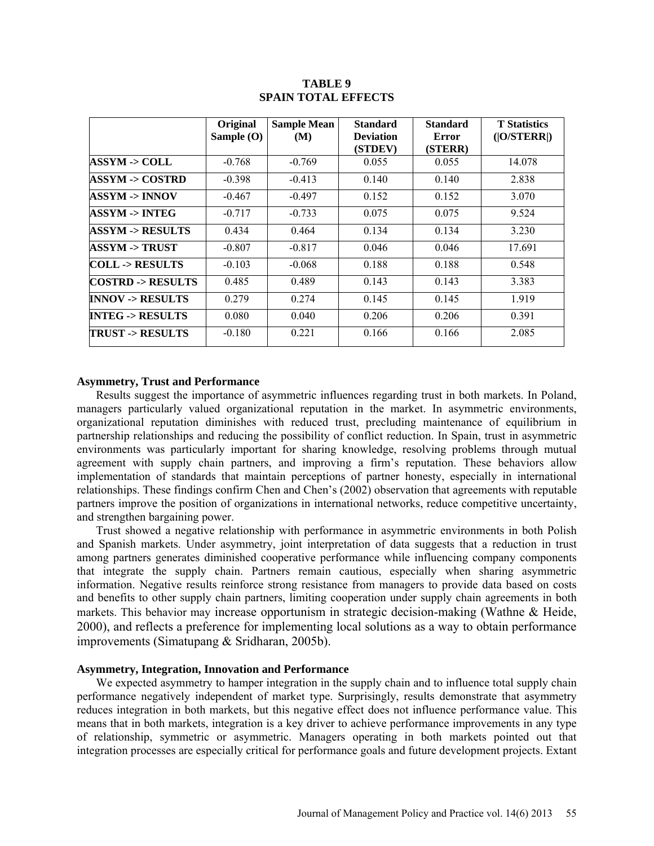|                            | Original<br>Sample $(O)$ | <b>Sample Mean</b><br>(M) | <b>Standard</b><br><b>Deviation</b><br>(STDEV) | <b>Standard</b><br>Error<br>(STERR) | <b>T</b> Statistics<br>( O/STERR ) |
|----------------------------|--------------------------|---------------------------|------------------------------------------------|-------------------------------------|------------------------------------|
| <b>ASSYM -&gt; COLL</b>    | $-0.768$                 | $-0.769$                  | 0.055                                          | 0.055                               | 14.078                             |
| <b>ASSYM -&gt; COSTRD</b>  | $-0.398$                 | $-0.413$                  | 0.140                                          | 0.140                               | 2.838                              |
| ASSYM -> INNOV             | $-0.467$                 | $-0.497$                  | 0.152                                          | 0.152                               | 3.070                              |
| ASSYM -> INTEG             | $-0.717$                 | $-0.733$                  | 0.075                                          | 0.075                               | 9.524                              |
| <b>ASSYM -&gt; RESULTS</b> | 0.434                    | 0.464                     | 0.134                                          | 0.134                               | 3.230                              |
| ASSYM -> TRUST             | $-0.807$                 | $-0.817$                  | 0.046                                          | 0.046                               | 17.691                             |
| <b>COLL -&gt; RESULTS</b>  | $-0.103$                 | $-0.068$                  | 0.188                                          | 0.188                               | 0.548                              |
| COSTRD -> RESULTS          | 0.485                    | 0.489                     | 0.143                                          | 0.143                               | 3.383                              |
| <b>INNOV -&gt; RESULTS</b> | 0.279                    | 0.274                     | 0.145                                          | 0.145                               | 1.919                              |
| <b>INTEG -&gt; RESULTS</b> | 0.080                    | 0.040                     | 0.206                                          | 0.206                               | 0.391                              |
| <b>TRUST -&gt; RESULTS</b> | $-0.180$                 | 0.221                     | 0.166                                          | 0.166                               | 2.085                              |

### **TABLE 9 SPAIN TOTAL EFFECTS**

#### **Asymmetry, Trust and Performance**

Results suggest the importance of asymmetric influences regarding trust in both markets. In Poland, managers particularly valued organizational reputation in the market. In asymmetric environments, organizational reputation diminishes with reduced trust, precluding maintenance of equilibrium in partnership relationships and reducing the possibility of conflict reduction. In Spain, trust in asymmetric environments was particularly important for sharing knowledge, resolving problems through mutual agreement with supply chain partners, and improving a firm's reputation. These behaviors allow implementation of standards that maintain perceptions of partner honesty, especially in international relationships. These findings confirm Chen and Chen's (2002) observation that agreements with reputable partners improve the position of organizations in international networks, reduce competitive uncertainty, and strengthen bargaining power.

Trust showed a negative relationship with performance in asymmetric environments in both Polish and Spanish markets. Under asymmetry, joint interpretation of data suggests that a reduction in trust among partners generates diminished cooperative performance while influencing company components that integrate the supply chain. Partners remain cautious, especially when sharing asymmetric information. Negative results reinforce strong resistance from managers to provide data based on costs and benefits to other supply chain partners, limiting cooperation under supply chain agreements in both markets. This behavior may increase opportunism in strategic decision-making (Wathne & Heide, 2000), and reflects a preference for implementing local solutions as a way to obtain performance improvements (Simatupang & Sridharan, 2005b).

# **Asymmetry, Integration, Innovation and Performance**

We expected asymmetry to hamper integration in the supply chain and to influence total supply chain performance negatively independent of market type. Surprisingly, results demonstrate that asymmetry reduces integration in both markets, but this negative effect does not influence performance value. This means that in both markets, integration is a key driver to achieve performance improvements in any type of relationship, symmetric or asymmetric. Managers operating in both markets pointed out that integration processes are especially critical for performance goals and future development projects. Extant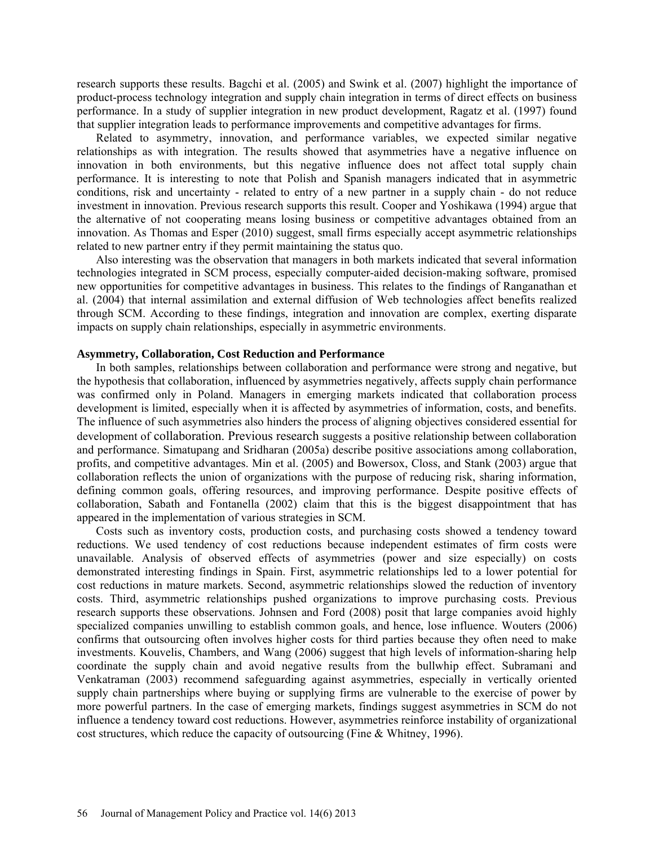research supports these results. Bagchi et al. (2005) and Swink et al. (2007) highlight the importance of product-process technology integration and supply chain integration in terms of direct effects on business performance. In a study of supplier integration in new product development, Ragatz et al. (1997) found that supplier integration leads to performance improvements and competitive advantages for firms.

Related to asymmetry, innovation, and performance variables, we expected similar negative relationships as with integration. The results showed that asymmetries have a negative influence on innovation in both environments, but this negative influence does not affect total supply chain performance. It is interesting to note that Polish and Spanish managers indicated that in asymmetric conditions, risk and uncertainty - related to entry of a new partner in a supply chain - do not reduce investment in innovation. Previous research supports this result. Cooper and Yoshikawa (1994) argue that the alternative of not cooperating means losing business or competitive advantages obtained from an innovation. As Thomas and Esper (2010) suggest, small firms especially accept asymmetric relationships related to new partner entry if they permit maintaining the status quo.

Also interesting was the observation that managers in both markets indicated that several information technologies integrated in SCM process, especially computer-aided decision-making software, promised new opportunities for competitive advantages in business. This relates to the findings of Ranganathan et al. (2004) that internal assimilation and external diffusion of Web technologies affect benefits realized through SCM. According to these findings, integration and innovation are complex, exerting disparate impacts on supply chain relationships, especially in asymmetric environments.

#### **Asymmetry, Collaboration, Cost Reduction and Performance**

In both samples, relationships between collaboration and performance were strong and negative, but the hypothesis that collaboration, influenced by asymmetries negatively, affects supply chain performance was confirmed only in Poland. Managers in emerging markets indicated that collaboration process development is limited, especially when it is affected by asymmetries of information, costs, and benefits. The influence of such asymmetries also hinders the process of aligning objectives considered essential for development of collaboration. Previous research suggests a positive relationship between collaboration and performance. Simatupang and Sridharan (2005a) describe positive associations among collaboration, profits, and competitive advantages. Min et al. (2005) and Bowersox, Closs, and Stank (2003) argue that collaboration reflects the union of organizations with the purpose of reducing risk, sharing information, defining common goals, offering resources, and improving performance. Despite positive effects of collaboration, Sabath and Fontanella (2002) claim that this is the biggest disappointment that has appeared in the implementation of various strategies in SCM.

Costs such as inventory costs, production costs, and purchasing costs showed a tendency toward reductions. We used tendency of cost reductions because independent estimates of firm costs were unavailable. Analysis of observed effects of asymmetries (power and size especially) on costs demonstrated interesting findings in Spain. First, asymmetric relationships led to a lower potential for cost reductions in mature markets. Second, asymmetric relationships slowed the reduction of inventory costs. Third, asymmetric relationships pushed organizations to improve purchasing costs. Previous research supports these observations. Johnsen and Ford (2008) posit that large companies avoid highly specialized companies unwilling to establish common goals, and hence, lose influence. Wouters (2006) confirms that outsourcing often involves higher costs for third parties because they often need to make investments. Kouvelis, Chambers, and Wang (2006) suggest that high levels of information-sharing help coordinate the supply chain and avoid negative results from the bullwhip effect. Subramani and Venkatraman (2003) recommend safeguarding against asymmetries, especially in vertically oriented supply chain partnerships where buying or supplying firms are vulnerable to the exercise of power by more powerful partners. In the case of emerging markets, findings suggest asymmetries in SCM do not influence a tendency toward cost reductions. However, asymmetries reinforce instability of organizational cost structures, which reduce the capacity of outsourcing (Fine & Whitney, 1996).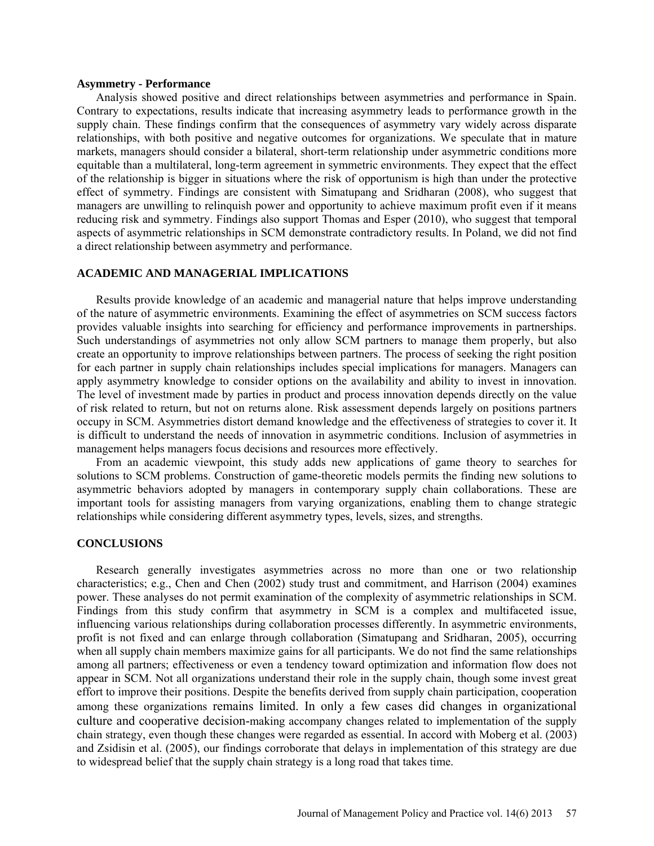#### **Asymmetry - Performance**

Analysis showed positive and direct relationships between asymmetries and performance in Spain. Contrary to expectations, results indicate that increasing asymmetry leads to performance growth in the supply chain. These findings confirm that the consequences of asymmetry vary widely across disparate relationships, with both positive and negative outcomes for organizations. We speculate that in mature markets, managers should consider a bilateral, short-term relationship under asymmetric conditions more equitable than a multilateral, long-term agreement in symmetric environments. They expect that the effect of the relationship is bigger in situations where the risk of opportunism is high than under the protective effect of symmetry. Findings are consistent with Simatupang and Sridharan (2008), who suggest that managers are unwilling to relinquish power and opportunity to achieve maximum profit even if it means reducing risk and symmetry. Findings also support Thomas and Esper (2010), who suggest that temporal aspects of asymmetric relationships in SCM demonstrate contradictory results. In Poland, we did not find a direct relationship between asymmetry and performance.

### **ACADEMIC AND MANAGERIAL IMPLICATIONS**

Results provide knowledge of an academic and managerial nature that helps improve understanding of the nature of asymmetric environments. Examining the effect of asymmetries on SCM success factors provides valuable insights into searching for efficiency and performance improvements in partnerships. Such understandings of asymmetries not only allow SCM partners to manage them properly, but also create an opportunity to improve relationships between partners. The process of seeking the right position for each partner in supply chain relationships includes special implications for managers. Managers can apply asymmetry knowledge to consider options on the availability and ability to invest in innovation. The level of investment made by parties in product and process innovation depends directly on the value of risk related to return, but not on returns alone. Risk assessment depends largely on positions partners occupy in SCM. Asymmetries distort demand knowledge and the effectiveness of strategies to cover it. It is difficult to understand the needs of innovation in asymmetric conditions. Inclusion of asymmetries in management helps managers focus decisions and resources more effectively.

From an academic viewpoint, this study adds new applications of game theory to searches for solutions to SCM problems. Construction of game-theoretic models permits the finding new solutions to asymmetric behaviors adopted by managers in contemporary supply chain collaborations. These are important tools for assisting managers from varying organizations, enabling them to change strategic relationships while considering different asymmetry types, levels, sizes, and strengths.

#### **CONCLUSIONS**

Research generally investigates asymmetries across no more than one or two relationship characteristics; e.g., Chen and Chen (2002) study trust and commitment, and Harrison (2004) examines power. These analyses do not permit examination of the complexity of asymmetric relationships in SCM. Findings from this study confirm that asymmetry in SCM is a complex and multifaceted issue, influencing various relationships during collaboration processes differently. In asymmetric environments, profit is not fixed and can enlarge through collaboration (Simatupang and Sridharan, 2005), occurring when all supply chain members maximize gains for all participants. We do not find the same relationships among all partners; effectiveness or even a tendency toward optimization and information flow does not appear in SCM. Not all organizations understand their role in the supply chain, though some invest great effort to improve their positions. Despite the benefits derived from supply chain participation, cooperation among these organizations remains limited. In only a few cases did changes in organizational culture and cooperative decision-making accompany changes related to implementation of the supply chain strategy, even though these changes were regarded as essential. In accord with Moberg et al. (2003) and Zsidisin et al. (2005), our findings corroborate that delays in implementation of this strategy are due to widespread belief that the supply chain strategy is a long road that takes time.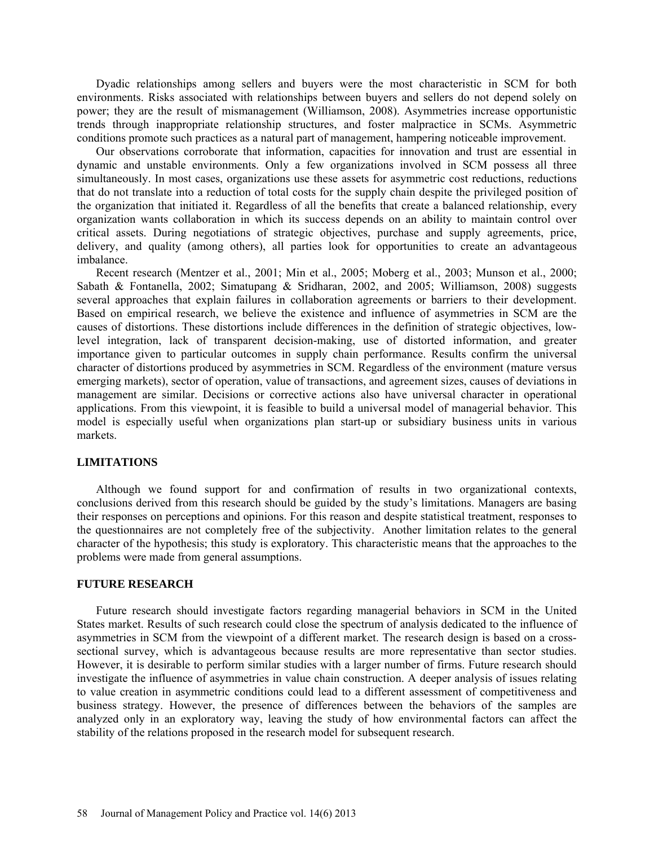Dyadic relationships among sellers and buyers were the most characteristic in SCM for both environments. Risks associated with relationships between buyers and sellers do not depend solely on power; they are the result of mismanagement (Williamson, 2008). Asymmetries increase opportunistic trends through inappropriate relationship structures, and foster malpractice in SCMs. Asymmetric conditions promote such practices as a natural part of management, hampering noticeable improvement.

Our observations corroborate that information, capacities for innovation and trust are essential in dynamic and unstable environments. Only a few organizations involved in SCM possess all three simultaneously. In most cases, organizations use these assets for asymmetric cost reductions, reductions that do not translate into a reduction of total costs for the supply chain despite the privileged position of the organization that initiated it. Regardless of all the benefits that create a balanced relationship, every organization wants collaboration in which its success depends on an ability to maintain control over critical assets. During negotiations of strategic objectives, purchase and supply agreements, price, delivery, and quality (among others), all parties look for opportunities to create an advantageous imbalance.

Recent research (Mentzer et al., 2001; Min et al., 2005; Moberg et al., 2003; Munson et al., 2000; Sabath & Fontanella, 2002; Simatupang & Sridharan, 2002, and 2005; Williamson, 2008) suggests several approaches that explain failures in collaboration agreements or barriers to their development. Based on empirical research, we believe the existence and influence of asymmetries in SCM are the causes of distortions. These distortions include differences in the definition of strategic objectives, lowlevel integration, lack of transparent decision-making, use of distorted information, and greater importance given to particular outcomes in supply chain performance. Results confirm the universal character of distortions produced by asymmetries in SCM. Regardless of the environment (mature versus emerging markets), sector of operation, value of transactions, and agreement sizes, causes of deviations in management are similar. Decisions or corrective actions also have universal character in operational applications. From this viewpoint, it is feasible to build a universal model of managerial behavior. This model is especially useful when organizations plan start-up or subsidiary business units in various markets.

#### **LIMITATIONS**

Although we found support for and confirmation of results in two organizational contexts, conclusions derived from this research should be guided by the study's limitations. Managers are basing their responses on perceptions and opinions. For this reason and despite statistical treatment, responses to the questionnaires are not completely free of the subjectivity. Another limitation relates to the general character of the hypothesis; this study is exploratory. This characteristic means that the approaches to the problems were made from general assumptions.

#### **FUTURE RESEARCH**

Future research should investigate factors regarding managerial behaviors in SCM in the United States market. Results of such research could close the spectrum of analysis dedicated to the influence of asymmetries in SCM from the viewpoint of a different market. The research design is based on a crosssectional survey, which is advantageous because results are more representative than sector studies. However, it is desirable to perform similar studies with a larger number of firms. Future research should investigate the influence of asymmetries in value chain construction. A deeper analysis of issues relating to value creation in asymmetric conditions could lead to a different assessment of competitiveness and business strategy. However, the presence of differences between the behaviors of the samples are analyzed only in an exploratory way, leaving the study of how environmental factors can affect the stability of the relations proposed in the research model for subsequent research.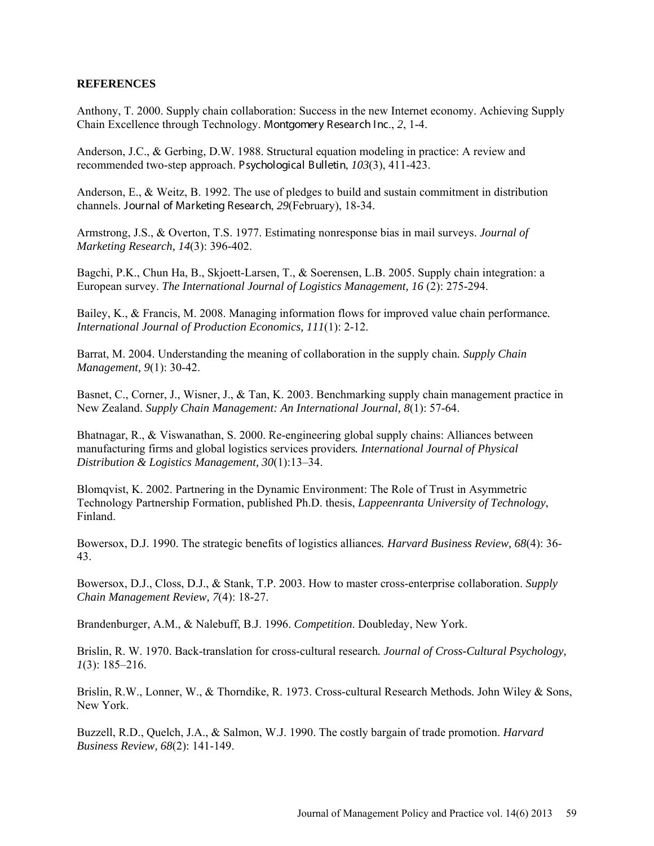## **REFERENCES**

Anthony, T. 2000. Supply chain collaboration: Success in the new Internet economy. Achieving Supply Chain Excellence through Technology. Montgomery Research Inc., *2*, 1-4.

Anderson, J.C., & Gerbing, D.W. 1988. Structural equation modeling in practice: A review and recommended two-step approach. Psychological Bulletin, *103*(3), 411-423.

Anderson, E., & Weitz, B. 1992. The use of pledges to build and sustain commitment in distribution channels. Journal of Marketing Research, *29*(February), 18-34.

Armstrong, J.S., & Overton, T.S. 1977. Estimating nonresponse bias in mail surveys. *Journal of Marketing Research, 14*(3): 396-402.

Bagchi, P.K., Chun Ha, B., Skjoett-Larsen, T., & Soerensen, L.B. 2005. Supply chain integration: a European survey. *The International Journal of Logistics Management, 16 (2): 275-294.* 

Bailey, K., & Francis, M. 2008. Managing information flows for improved value chain performance*. International Journal of Production Economics, 111*(1): 2-12.

Barrat, M. 2004. Understanding the meaning of collaboration in the supply chain*. Supply Chain Management, 9*(1): 30-42.

Basnet, C., Corner, J., Wisner, J., & Tan, K. 2003. Benchmarking supply chain management practice in New Zealand. *Supply Chain Management: An International Journal, 8*(1): 57-64.

Bhatnagar, R., & Viswanathan, S. 2000. Re-engineering global supply chains: Alliances between manufacturing firms and global logistics services providers*. International Journal of Physical Distribution & Logistics Management, 30*(1):13–34.

Blomqvist, K. 2002. Partnering in the Dynamic Environment: The Role of Trust in Asymmetric Technology Partnership Formation, published Ph.D. thesis, *Lappeenranta University of Technology*, Finland.

Bowersox, D.J. 1990. The strategic benefits of logistics alliances*. Harvard Business Review, 68*(4): 36- 43.

Bowersox, D.J., Closs, D.J., & Stank, T.P. 2003. How to master cross-enterprise collaboration. *Supply Chain Management Review, 7*(4): 18-27.

Brandenburger, A.M., & Nalebuff, B.J. 1996. *Competition*. Doubleday, New York.

Brislin, R. W. 1970. Back-translation for cross-cultural research*. Journal of Cross-Cultural Psychology, 1*(3): 185–216.

Brislin, R.W., Lonner, W., & Thorndike, R. 1973. Cross-cultural Research Methods*.* John Wiley & Sons, New York.

Buzzell, R.D., Quelch, J.A., & Salmon, W.J. 1990. The costly bargain of trade promotion. *Harvard Business Review, 68*(2): 141-149.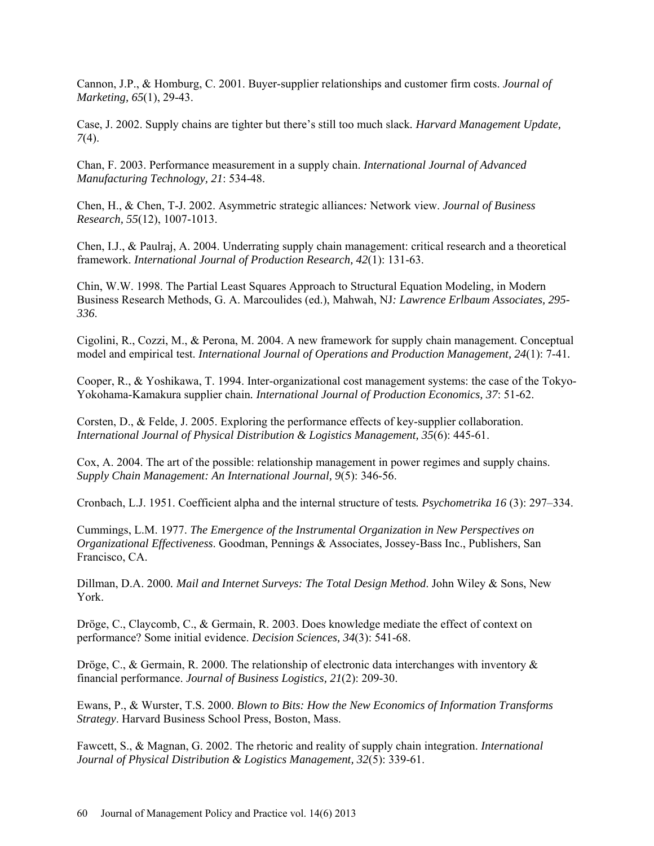Cannon, J.P., & Homburg, C. 2001. Buyer-supplier relationships and customer firm costs. *Journal of Marketing, 65*(1), 29-43.

Case, J. 2002. Supply chains are tighter but there's still too much slack*. Harvard Management Update, 7*(4).

Chan, F. 2003. Performance measurement in a supply chain. *International Journal of Advanced Manufacturing Technology, 21*: 534-48.

Chen, H., & Chen, T-J. 2002. Asymmetric strategic alliances*:* Network view. *Journal of Business Research, 55*(12), 1007-1013.

Chen, I.J., & Paulraj, A. 2004. Underrating supply chain management: critical research and a theoretical framework. *International Journal of Production Research, 42*(1): 131-63.

Chin, W.W. 1998. The Partial Least Squares Approach to Structural Equation Modeling, in Modern Business Research Methods, G. A. Marcoulides (ed.), Mahwah, NJ*: Lawrence Erlbaum Associates, 295- 336*.

Cigolini, R., Cozzi, M., & Perona, M. 2004. A new framework for supply chain management. Conceptual model and empirical test. *International Journal of Operations and Production Management, 24*(1): 7-41*.* 

Cooper, R., & Yoshikawa, T. 1994. Inter-organizational cost management systems: the case of the Tokyo-Yokohama-Kamakura supplier chain*. International Journal of Production Economics, 37*: 51-62.

Corsten, D., & Felde, J. 2005. Exploring the performance effects of key-supplier collaboration. *International Journal of Physical Distribution & Logistics Management, 35*(6): 445-61.

Cox, A. 2004. The art of the possible: relationship management in power regimes and supply chains. *Supply Chain Management: An International Journal, 9*(5): 346-56.

Cronbach, L.J. 1951. Coefficient alpha and the internal structure of tests*. Psychometrika 16* (3): 297–334.

Cummings, L.M. 1977. *The Emergence of the Instrumental Organization in New Perspectives on Organizational Effectiveness*. Goodman, Pennings & Associates, Jossey-Bass Inc., Publishers, San Francisco, CA.

Dillman, D.A. 2000*. Mail and Internet Surveys: The Total Design Method*. John Wiley & Sons, New York.

Dröge, C., Claycomb, C., & Germain, R. 2003. Does knowledge mediate the effect of context on performance? Some initial evidence. *Decision Sciences, 34*(3): 541-68.

Dröge, C., & Germain, R. 2000. The relationship of electronic data interchanges with inventory  $\&$ financial performance. *Journal of Business Logistics, 21*(2): 209-30.

Ewans, P., & Wurster, T.S. 2000. *Blown to Bits: How the New Economics of Information Transforms Strategy*. Harvard Business School Press, Boston, Mass.

Fawcett, S., & Magnan, G. 2002. The rhetoric and reality of supply chain integration. *International Journal of Physical Distribution & Logistics Management, 32*(5): 339-61.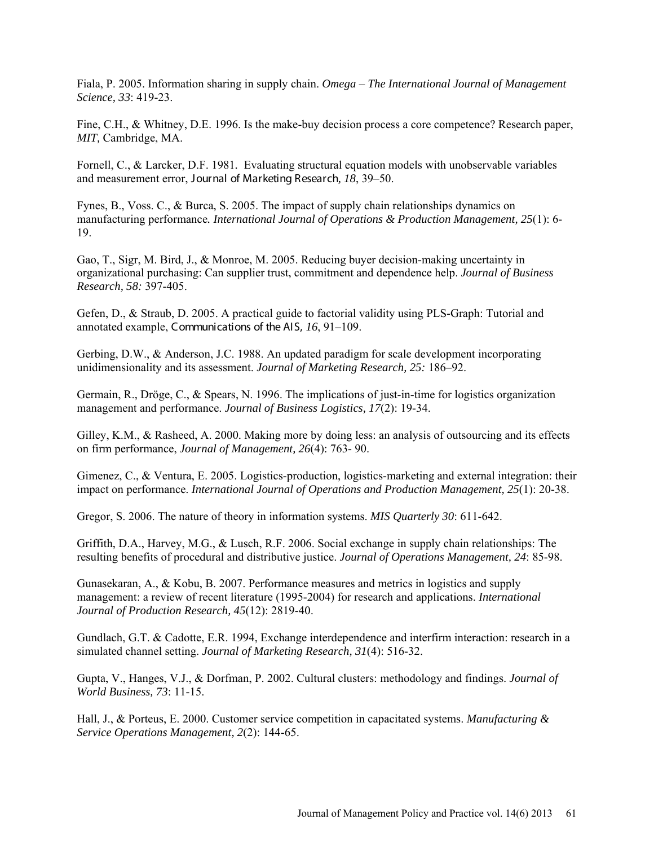Fiala, P. 2005. Information sharing in supply chain. *Omega* – *The International Journal of Management Science, 33*: 419-23.

Fine, C.H., & Whitney, D.E. 1996. Is the make-buy decision process a core competence? Research paper, *MIT,* Cambridge, MA.

Fornell, C., & Larcker, D.F. 1981*.* Evaluating structural equation models with unobservable variables and measurement error, Journal of Marketing Research*, 18*, 39–50.

Fynes, B., Voss. C., & Burca, S. 2005. The impact of supply chain relationships dynamics on manufacturing performance*. International Journal of Operations & Production Management, 25*(1): 6- 19.

Gao, T., Sigr, M. Bird, J., & Monroe, M. 2005. Reducing buyer decision-making uncertainty in organizational purchasing: Can supplier trust, commitment and dependence help. *Journal of Business Research, 58:* 397-405.

Gefen, D., & Straub, D. 2005. A practical guide to factorial validity using PLS-Graph: Tutorial and annotated example, Communications of the AIS, *16*, 91–109.

Gerbing, D.W., & Anderson, J.C. 1988. An updated paradigm for scale development incorporating unidimensionality and its assessment. *Journal of Marketing Research, 25:* 186–92.

Germain, R., Dröge, C., & Spears, N. 1996. The implications of just-in-time for logistics organization management and performance. *Journal of Business Logistics, 17*(2): 19-34.

Gilley, K.M., & Rasheed, A. 2000. Making more by doing less: an analysis of outsourcing and its effects on firm performance, *Journal of Management, 26*(4): 763- 90.

Gimenez, C., & Ventura, E. 2005. Logistics-production, logistics-marketing and external integration: their impact on performance. *International Journal of Operations and Production Management, 25*(1): 20-38.

Gregor, S. 2006. The nature of theory in information systems. *MIS Quarterly 30*: 611-642.

Griffith, D.A., Harvey, M.G., & Lusch, R.F. 2006. Social exchange in supply chain relationships: The resulting benefits of procedural and distributive justice. *Journal of Operations Management, 24*: 85-98.

Gunasekaran, A., & Kobu, B. 2007. Performance measures and metrics in logistics and supply management: a review of recent literature (1995-2004) for research and applications. *International Journal of Production Research, 45*(12): 2819-40.

Gundlach, G.T. & Cadotte, E.R. 1994, Exchange interdependence and interfirm interaction: research in a simulated channel setting. *Journal of Marketing Research, 31*(4): 516-32.

Gupta, V., Hanges, V.J., & Dorfman, P. 2002. Cultural clusters: methodology and findings. *Journal of World Business, 73*: 11-15.

Hall, J., & Porteus, E. 2000. Customer service competition in capacitated systems. *Manufacturing & Service Operations Management, 2*(2): 144-65.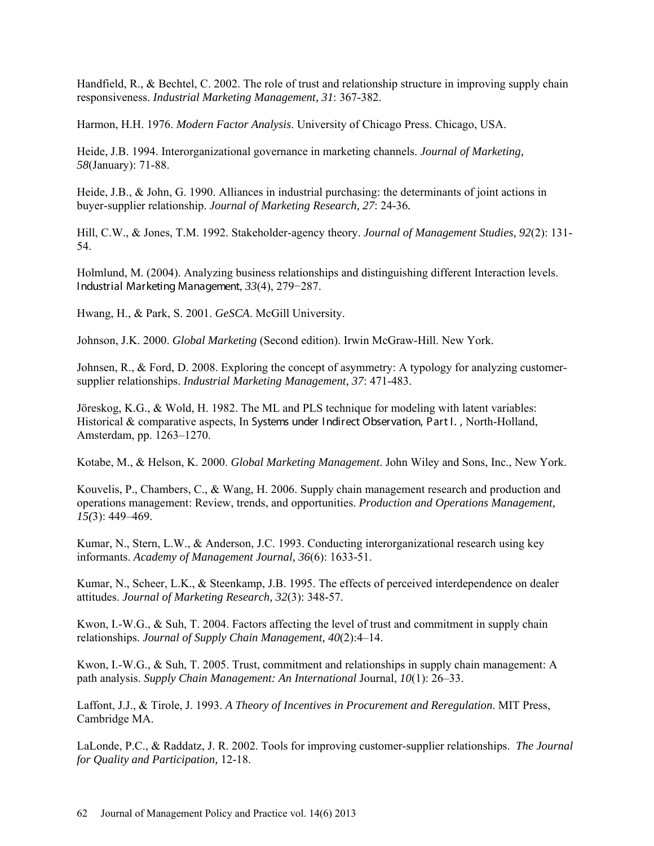Handfield, R., & Bechtel, C. 2002. The role of trust and relationship structure in improving supply chain responsiveness. *Industrial Marketing Management, 31*: 367-382.

Harmon, H.H. 1976. *Modern Factor Analysis*. University of Chicago Press. Chicago, USA.

Heide, J.B. 1994. Interorganizational governance in marketing channels. *Journal of Marketing, 58*(January): 71-88.

Heide, J.B., & John, G. 1990. Alliances in industrial purchasing: the determinants of joint actions in buyer-supplier relationship. *Journal of Marketing Research, 27*: 24-36*.* 

Hill, C.W., & Jones, T.M. 1992. Stakeholder-agency theory. *Journal of Management Studies, 92*(2): 131- 54.

Holmlund, M. (2004). Analyzing business relationships and distinguishing different Interaction levels. Industrial Marketing Management, *33*(4), 279−287.

Hwang, H., & Park, S. 2001. *GeSCA*. McGill University.

Johnson, J.K. 2000. *Global Marketing* (Second edition). Irwin McGraw-Hill. New York.

Johnsen, R., & Ford, D. 2008. Exploring the concept of asymmetry: A typology for analyzing customersupplier relationships. *Industrial Marketing Management, 37*: 471-483.

Jöreskog, K.G., & Wold, H. 1982. The ML and PLS technique for modeling with latent variables: Historical & comparative aspects, In Systems under Indirect Observation, Part I., North-Holland, Amsterdam, pp. 1263–1270.

Kotabe, M., & Helson, K. 2000. *Global Marketing Management*. John Wiley and Sons, Inc., New York.

Kouvelis, P., Chambers, C., & Wang, H. 2006. Supply chain management research and production and operations management: Review, trends, and opportunities. *Production and Operations Management, 15(*3): 449–469.

Kumar, N., Stern, L.W., & Anderson, J.C. 1993. Conducting interorganizational research using key informants. *Academy of Management Journal, 36*(6): 1633-51.

Kumar, N., Scheer, L.K., & Steenkamp, J.B. 1995. The effects of perceived interdependence on dealer attitudes. *Journal of Marketing Research, 32*(3): 348-57.

Kwon, I.-W.G., & Suh, T. 2004. Factors affecting the level of trust and commitment in supply chain relationships. *Journal of Supply Chain Management, 40*(2):4–14.

Kwon, I.-W.G., & Suh, T. 2005. Trust, commitment and relationships in supply chain management: A path analysis. *Supply Chain Management: An International* Journal, *10*(1): 26–33.

Laffont, J.J., & Tirole, J. 1993. *A Theory of Incentives in Procurement and Reregulation*. MIT Press, Cambridge MA.

LaLonde, P.C., & Raddatz, J. R. 2002. Tools for improving customer-supplier relationships. *The Journal for Quality and Participation,* 12-18.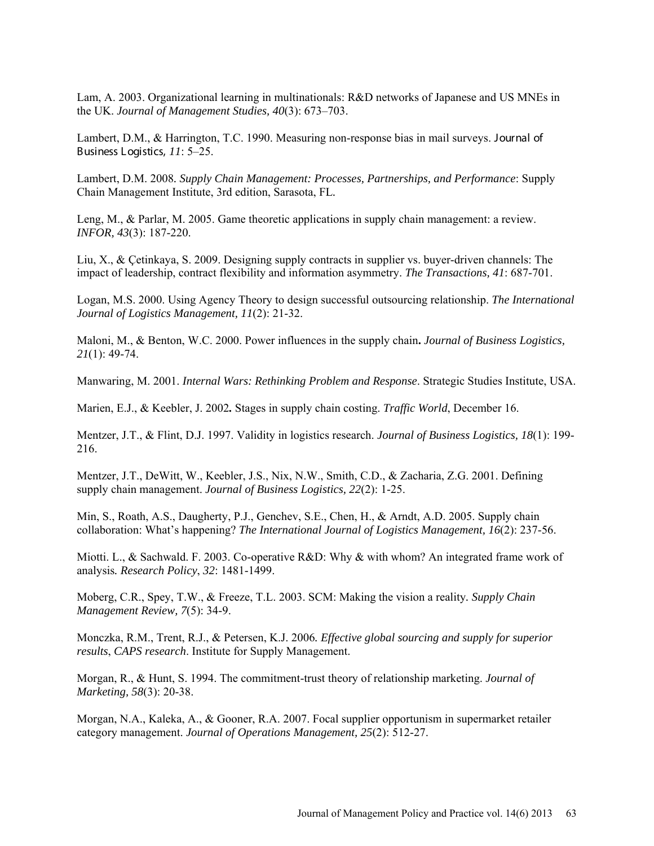Lam, A. 2003. Organizational learning in multinationals: R&D networks of Japanese and US MNEs in the UK. *Journal of Management Studies, 40*(3): 673–703.

Lambert, D.M., & Harrington, T.C. 1990. Measuring non-response bias in mail surveys. Journal of Business Logistics, *11*: 5–25.

Lambert, D.M. 2008*. Supply Chain Management: Processes, Partnerships, and Performance*: Supply Chain Management Institute, 3rd edition, Sarasota, FL*.* 

Leng, M., & Parlar, M. 2005. Game theoretic applications in supply chain management: a review. *INFOR, 43*(3): 187-220.

Liu, X., & Çetinkaya, S. 2009. Designing supply contracts in supplier vs. buyer-driven channels: The impact of leadership, contract flexibility and information asymmetry. *The Transactions, 41*: 687-701.

Logan, M.S. 2000. Using Agency Theory to design successful outsourcing relationship. *The International Journal of Logistics Management, 11*(2): 21-32.

Maloni, M., & Benton, W.C. 2000. Power influences in the supply chain**.** *Journal of Business Logistics, 21*(1): 49-74.

Manwaring, M. 2001. *Internal Wars: Rethinking Problem and Response*. Strategic Studies Institute, USA.

Marien, E.J., & Keebler, J. 2002*.* Stages in supply chain costing. *Traffic World*, December 16.

Mentzer, J.T., & Flint, D.J. 1997. Validity in logistics research. *Journal of Business Logistics, 18*(1): 199- 216.

Mentzer, J.T., DeWitt, W., Keebler, J.S., Nix, N.W., Smith, C.D., & Zacharia, Z.G. 2001. Defining supply chain management. *Journal of Business Logistics, 22*(2): 1-25.

Min, S., Roath, A.S., Daugherty, P.J., Genchev, S.E., Chen, H., & Arndt, A.D. 2005. Supply chain collaboration: What's happening? *The International Journal of Logistics Management, 16*(2): 237-56.

Miotti. L., & Sachwald. F. 2003. Co-operative R&D: Why & with whom? An integrated frame work of analysis*. Research Policy*, *32*: 1481-1499.

Moberg, C.R., Spey, T.W., & Freeze, T.L. 2003. SCM: Making the vision a reality*. Supply Chain Management Review, 7*(5): 34-9.

Monczka, R.M., Trent, R.J., & Petersen, K.J. 2006*. Effective global sourcing and supply for superior results*, *CAPS research*. Institute for Supply Management.

Morgan, R., & Hunt, S. 1994. The commitment-trust theory of relationship marketing. *Journal of Marketing, 58*(3): 20-38.

Morgan, N.A., Kaleka, A., & Gooner, R.A. 2007. Focal supplier opportunism in supermarket retailer category management. *Journal of Operations Management, 25*(2): 512-27.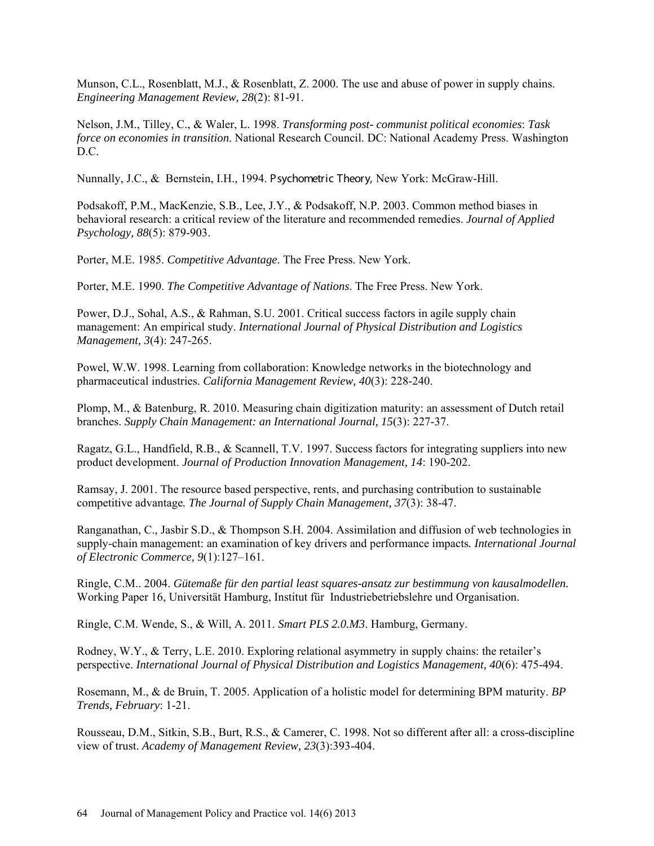Munson, C.L., Rosenblatt, M.J., & Rosenblatt, Z. 2000. The use and abuse of power in supply chains. *Engineering Management Review, 28*(2): 81-91.

Nelson, J.M., Tilley, C., & Waler, L. 1998. *Transforming post- communist political economies*: *Task force on economies in transition*. National Research Council. DC: National Academy Press. Washington D.C.

Nunnally, J.C., & Bernstein, I.H., 1994. Psychometric Theory, New York: McGraw-Hill.

Podsakoff, P.M., MacKenzie, S.B., Lee, J.Y., & Podsakoff, N.P. 2003. Common method biases in behavioral research: a critical review of the literature and recommended remedies. *Journal of Applied Psychology, 88*(5): 879-903.

Porter, M.E. 1985. *Competitive Advantage*. The Free Press. New York.

Porter, M.E. 1990. *The Competitive Advantage of Nations*. The Free Press. New York.

Power, D.J., Sohal, A.S., & Rahman, S.U. 2001. Critical success factors in agile supply chain management: An empirical study. *International Journal of Physical Distribution and Logistics Management, 3*(4): 247-265.

Powel, W.W. 1998. Learning from collaboration: Knowledge networks in the biotechnology and pharmaceutical industries. *California Management Review, 40*(3): 228-240.

Plomp, M., & Batenburg, R. 2010. Measuring chain digitization maturity: an assessment of Dutch retail branches. *Supply Chain Management: an International Journal, 15*(3): 227-37.

Ragatz, G.L., Handfield, R.B., & Scannell, T.V. 1997. Success factors for integrating suppliers into new product development. *Journal of Production Innovation Management, 14*: 190-202.

Ramsay, J. 2001. The resource based perspective, rents, and purchasing contribution to sustainable competitive advantage*. The Journal of Supply Chain Management, 37*(3): 38-47.

Ranganathan, C., Jasbir S.D., & Thompson S.H. 2004. Assimilation and diffusion of web technologies in supply-chain management: an examination of key drivers and performance impacts*. International Journal of Electronic Commerce, 9*(1):127–161.

Ringle, C.M.. 2004. *Gütemaße für den partial least squares-ansatz zur bestimmung von kausalmodellen.* Working Paper 16, Universität Hamburg, Institut für Industriebetriebslehre und Organisation.

Ringle, C.M. Wende, S., & Will, A. 2011. *Smart PLS 2.0.M3*. Hamburg, Germany.

Rodney, W.Y., & Terry, L.E. 2010. Exploring relational asymmetry in supply chains: the retailer's perspective. *International Journal of Physical Distribution and Logistics Management, 40*(6): 475-494.

Rosemann, M., & de Bruin, T. 2005. Application of a holistic model for determining BPM maturity. *BP Trends, February*: 1-21.

Rousseau, D.M., Sitkin, S.B., Burt, R.S., & Camerer, C. 1998. Not so different after all: a cross-discipline view of trust. *Academy of Management Review, 23*(3):393-404.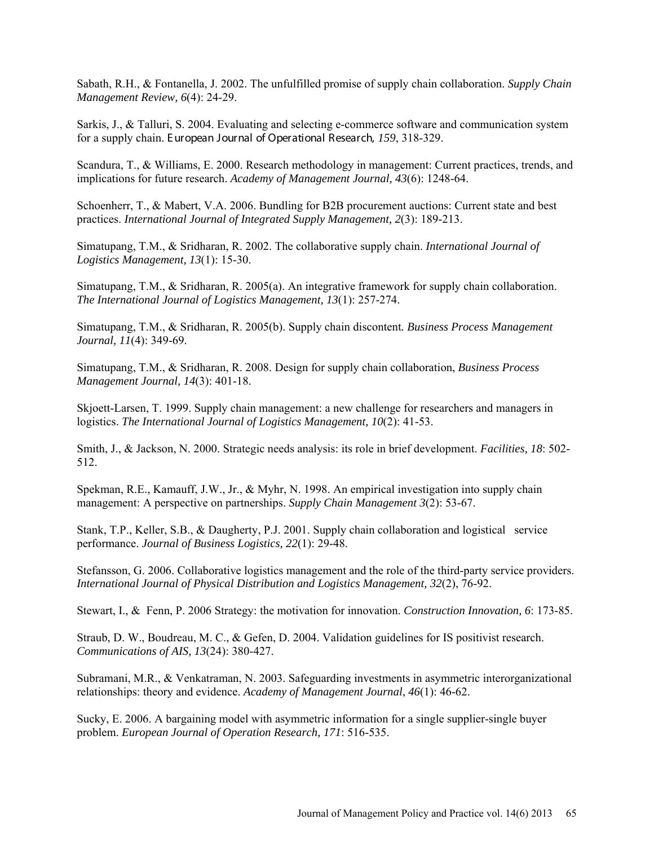Sabath, R.H., & Fontanella, J. 2002. The unfulfilled promise of supply chain collaboration. *Supply Chain Management Review, 6*(4): 24-29.

Sarkis, J., & Talluri, S. 2004. Evaluating and selecting e-commerce software and communication system for a supply chain. E uropean Journal of Operational Research, *159*, 318-329.

Scandura, T., & Williams, E. 2000. Research methodology in management: Current practices, trends, and implications for future research. *Academy of Management Journal, 43*(6): 1248-64.

Schoenherr, T., & Mabert, V.A. 2006. Bundling for B2B procurement auctions: Current state and best practices. *International Journal of Integrated Supply Management, 2*(3): 189-213.

Simatupang, T.M., & Sridharan, R. 2002. The collaborative supply chain. *International Journal of Logistics Management, 13*(1): 15-30.

Simatupang, T.M., & Sridharan, R. 2005(a). An integrative framework for supply chain collaboration. *The International Journal of Logistics Management, 13*(1): 257-274.

Simatupang, T.M., & Sridharan, R. 2005(b). Supply chain discontent*. Business Process Management Journal, 11*(4): 349-69.

Simatupang, T.M., & Sridharan, R. 2008. Design for supply chain collaboration, *Business Process Management Journal, 14*(3): 401-18.

Skjoett-Larsen, T. 1999. Supply chain management: a new challenge for researchers and managers in logistics. *The International Journal of Logistics Management, 10*(2): 41-53.

Smith, J., & Jackson, N. 2000. Strategic needs analysis: its role in brief development. *Facilities, 18*: 502- 512.

Spekman, R.E., Kamauff, J.W., Jr., & Myhr, N. 1998. An empirical investigation into supply chain management: A perspective on partnerships. *Supply Chain Management 3*(2): 53-67.

Stank, T.P., Keller, S.B., & Daugherty, P.J. 2001. Supply chain collaboration and logistical service performance. *Journal of Business Logistics, 22*(1): 29-48.

Stefansson, G. 2006. Collaborative logistics management and the role of the third-party service providers. *International Journal of Physical Distribution and Logistics Management, 32*(2), 76-92.

Stewart, I., & Fenn, P. 2006 Strategy: the motivation for innovation. *Construction Innovation, 6*: 173-85.

Straub, D. W., Boudreau, M. C., & Gefen, D. 2004. Validation guidelines for IS positivist research. *Communications of AIS, 13*(24): 380-427.

Subramani, M.R., & Venkatraman, N. 2003. Safeguarding investments in asymmetric interorganizational relationships: theory and evidence. *Academy of Management Journal*, *46*(1): 46-62.

Sucky, E. 2006. A bargaining model with asymmetric information for a single supplier-single buyer problem. *European Journal of Operation Research, 171*: 516-535.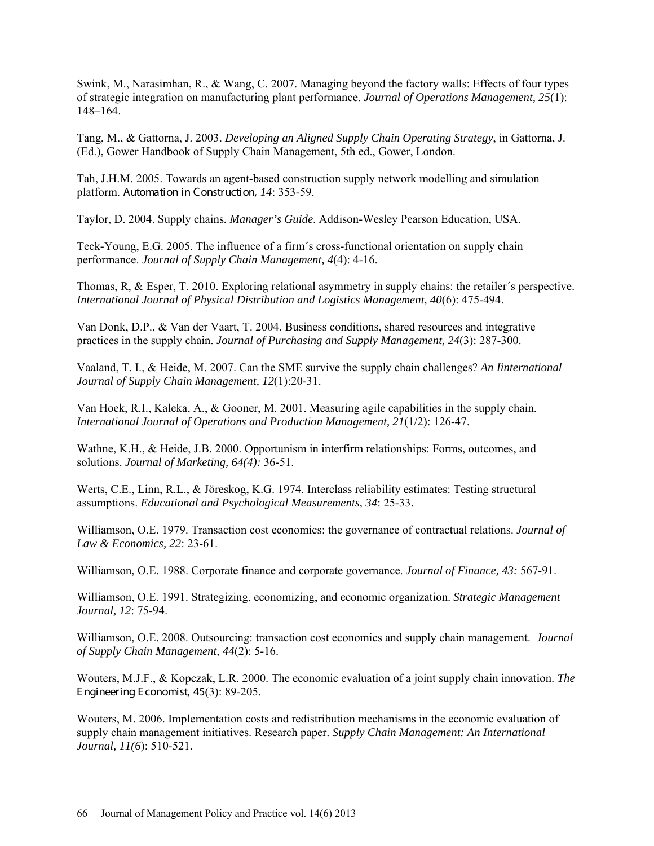Swink, M., Narasimhan, R., & Wang, C. 2007. Managing beyond the factory walls: Effects of four types of strategic integration on manufacturing plant performance. *Journal of Operations Management, 25*(1): 148–164.

Tang, M., & Gattorna, J. 2003. *Developing an Aligned Supply Chain Operating Strategy*, in Gattorna, J. (Ed.), Gower Handbook of Supply Chain Management, 5th ed., Gower, London.

Tah, J.H.M. 2005. Towards an agent-based construction supply network modelling and simulation platform. Automation in Construction, *14*: 353-59.

Taylor, D. 2004. Supply chains*. Manager's Guide*. Addison-Wesley Pearson Education, USA.

Teck-Young, E.G. 2005. The influence of a firm´s cross-functional orientation on supply chain performance. *Journal of Supply Chain Management, 4*(4): 4-16.

Thomas, R, & Esper, T. 2010. Exploring relational asymmetry in supply chains: the retailer´s perspective. *International Journal of Physical Distribution and Logistics Management, 40*(6): 475-494.

Van Donk, D.P., & Van der Vaart, T. 2004. Business conditions, shared resources and integrative practices in the supply chain. *Journal of Purchasing and Supply Management, 24*(3): 287-300.

Vaaland, T. I., & Heide, M. 2007. Can the SME survive the supply chain challenges? *An Iinternational Journal of Supply Chain Management, 12*(1):20-31.

Van Hoek, R.I., Kaleka, A., & Gooner, M. 2001. Measuring agile capabilities in the supply chain. *International Journal of Operations and Production Management, 21*(1/2): 126-47.

Wathne, K.H., & Heide, J.B. 2000. Opportunism in interfirm relationships: Forms, outcomes, and solutions. *Journal of Marketing, 64(4):* 36-51.

Werts, C.E., Linn, R.L., & Jöreskog, K.G. 1974. Interclass reliability estimates: Testing structural assumptions. *Educational and Psychological Measurements, 34*: 25-33.

Williamson, O.E. 1979. [Transaction cost economics: the governance of contractual relations.](http://links.jstor.org/sici?sici=0022-2186%28197910%2922%3A2%3C233%3ATETGOC%3E2.0.CO%3B2-M) *Journal of Law & Economics, 22*: 23-61.

Williamson, O.E. 1988. Corporate finance and corporate governance. *Journal of Finance, 43:* 567-91.

Williamson, O.E. 1991. Strategizing, economizing, and economic organization. *Strategic Management Journal, 12*: 75-94.

Williamson, O.E. 2008. Outsourcing: transaction cost economics and supply chain management. *Journal of Supply Chain Management, 44*(2): 5-16.

Wouters, M.J.F., & Kopczak, L.R. 2000. The economic evaluation of a joint supply chain innovation. *The* E ngineering E conomist, 45(3): 89-205.

Wouters, M. 2006. Implementation costs and redistribution mechanisms in the economic evaluation of supply chain management initiatives. Research paper. *Supply Chain Management: An International Journal, 11(6*): 510-521.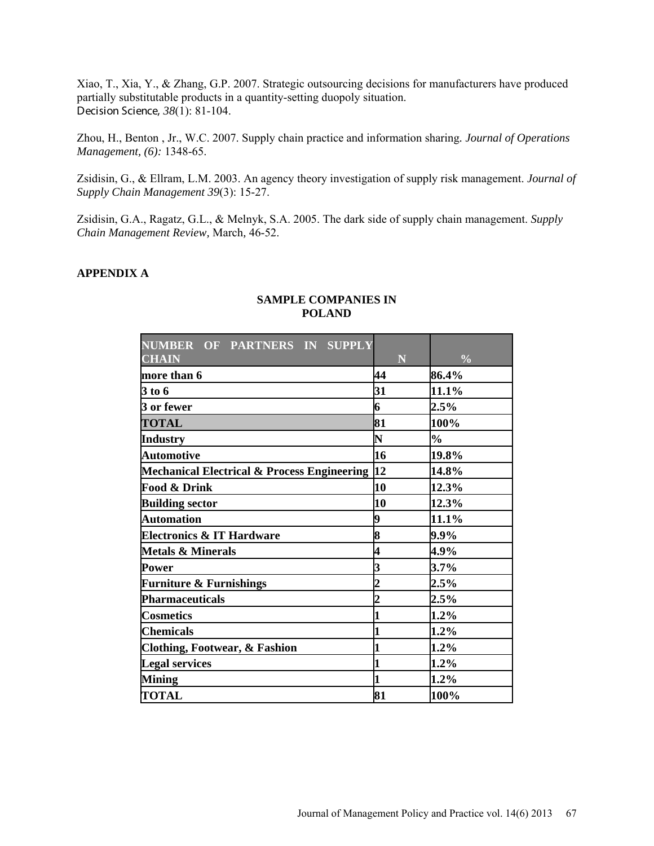Xiao, T., Xia, Y., & Zhang, G.P. 2007. Strategic outsourcing decisions for manufacturers have produced partially substitutable products in a quantity-setting duopoly situation. Decision Science, *38*(1): 81-104.

Zhou, H., Benton , Jr., W.C. 2007. Supply chain practice and information sharing*. Journal of Operations Management, (6):* 1348-65.

Zsidisin, G., & Ellram, L.M. 2003. An agency theory investigation of supply risk management. *Journal of Supply Chain Management 39*(3): 15-27.

Zsidisin, G.A., Ragatz, G.L., & Melnyk, S.A. 2005. The dark side of supply chain management. *Supply Chain Management Review,* March*,* 46-52.

## **APPENDIX A**

| NUMBER OF PARTNERS IN SUPPLY                   |                |               |
|------------------------------------------------|----------------|---------------|
| <b>CHAIN</b>                                   | $\mathbf N$    | $\frac{0}{0}$ |
| more than 6                                    | 44             | 86.4%         |
| 3 to 6                                         | 31             | 11.1%         |
| 3 or fewer                                     | 6              | $2.5\%$       |
| <b>TOTAL</b>                                   | 81             | 100%          |
| <b>Industry</b>                                | N              | $\frac{0}{0}$ |
| <b>Automotive</b>                              | 16             | 19.8%         |
| Mechanical Electrical & Process Engineering 12 |                | 14.8%         |
| <b>Food &amp; Drink</b>                        | 10             | 12.3%         |
| <b>Building sector</b>                         | 10             | 12.3%         |
| <b>Automation</b>                              | 9              | 11.1%         |
| <b>Electronics &amp; IT Hardware</b>           | 8              | 9.9%          |
| <b>Metals &amp; Minerals</b>                   | 4              | 4.9%          |
| Power                                          | 3              | 3.7%          |
| <b>Furniture &amp; Furnishings</b>             | $\overline{c}$ | $2.5\%$       |
| <b>Pharmaceuticals</b>                         | $\overline{c}$ | $2.5\%$       |
| <b>Cosmetics</b>                               | 1              | $1.2\%$       |
| <b>Chemicals</b>                               | 1              | $1.2\%$       |
| <b>Clothing, Footwear, &amp; Fashion</b>       | 1              | 1.2%          |
| <b>Legal services</b>                          | 1              | 1.2%          |
| <b>Mining</b>                                  | $\mathbf 1$    | $1.2\%$       |
| <b>TOTAL</b>                                   | 81             | 100%          |

## **SAMPLE COMPANIES IN POLAND**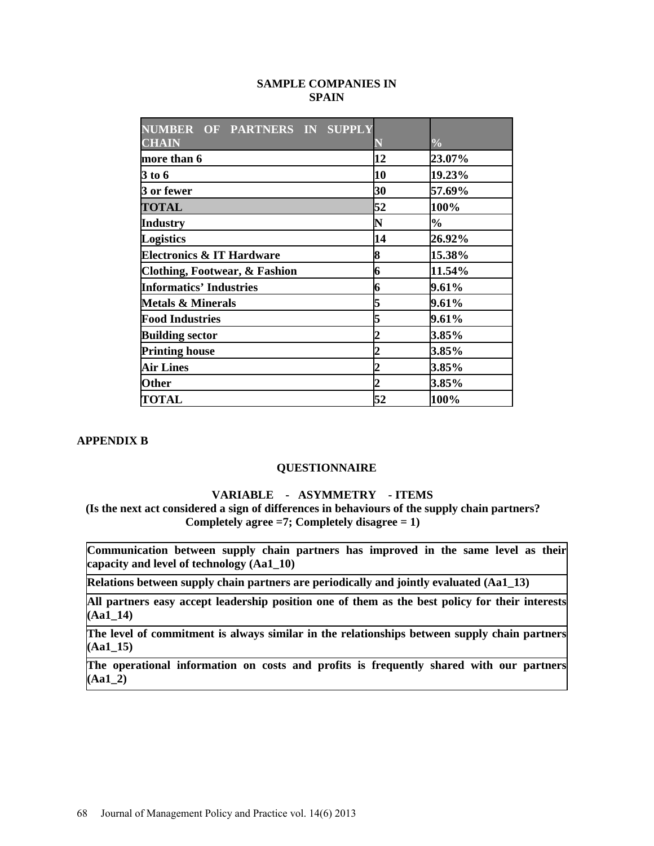## **SAMPLE COMPANIES IN SPAIN**

| NUMBER OF PARTNERS IN SUPPLY         |    |               |
|--------------------------------------|----|---------------|
| <b>CHAIN</b>                         |    | $\frac{0}{0}$ |
| more than 6                          | 12 | 23.07%        |
| <b>3 to 6</b>                        | 10 | 19.23%        |
| 3 or fewer                           | 30 | 57.69%        |
| <b>TOTAL</b>                         | 52 | 100%          |
| <b>Industry</b>                      | N  | $\frac{0}{0}$ |
| <b>Logistics</b>                     | 14 | 26.92%        |
| <b>Electronics &amp; IT Hardware</b> | 8  | 15.38%        |
| Clothing, Footwear, & Fashion        | 6  | 11.54%        |
| <b>Informatics' Industries</b>       | 6  | 9.61%         |
| <b>Metals &amp; Minerals</b>         | 5  | 9.61%         |
| <b>Food Industries</b>               | 5  | 9.61%         |
| <b>Building sector</b>               |    | 3.85%         |
| <b>Printing house</b>                |    | 3.85%         |
| <b>Air Lines</b>                     |    | 3.85%         |
| <b>Other</b>                         |    | 3.85%         |
| <b>TOTAL</b>                         | 52 | 100%          |

## **APPENDIX B**

#### **QUESTIONNAIRE**

## **VARIABLE - ASYMMETRY - ITEMS**

 **(Is the next act considered a sign of differences in behaviours of the supply chain partners? Completely agree =7; Completely disagree = 1)**

**Communication between supply chain partners has improved in the same level as their capacity and level of technology (Aa1\_10)**

**Relations between supply chain partners are periodically and jointly evaluated (Aa1\_13)**

**All partners easy accept leadership position one of them as the best policy for their interests (Aa1\_14)** 

**The level of commitment is always similar in the relationships between supply chain partners (Aa1\_15)**

**The operational information on costs and profits is frequently shared with our partners (Aa1\_2)**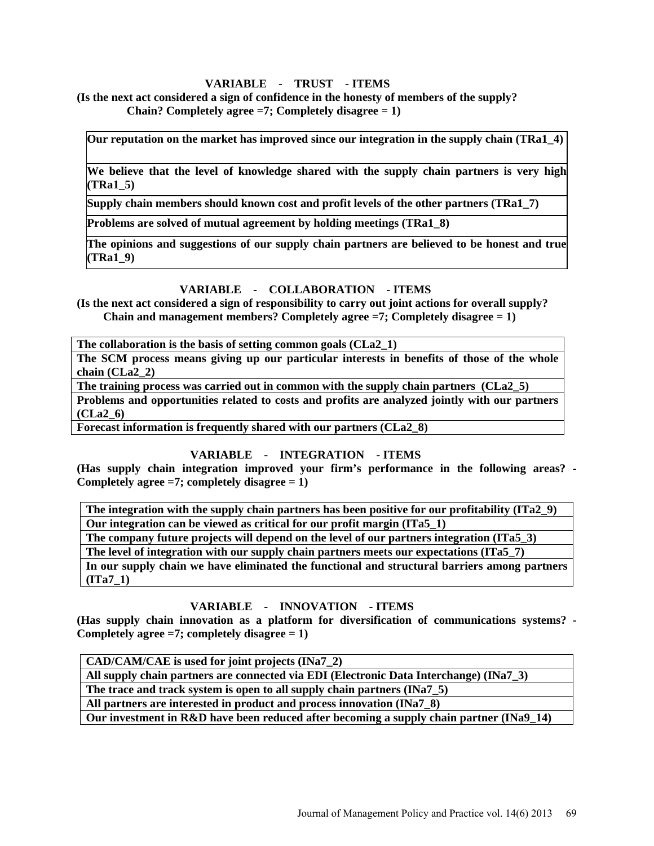# **VARIABLE - TRUST - ITEMS**

**(Is the next act considered a sign of confidence in the honesty of members of the supply? Chain? Completely agree =7; Completely disagree = 1)**

**Our reputation on the market has improved since our integration in the supply chain (TRa1\_4)**

**We believe that the level of knowledge shared with the supply chain partners is very high (TRa1\_5)**

**Supply chain members should known cost and profit levels of the other partners (TRa1\_7)**

**Problems are solved of mutual agreement by holding meetings (TRa1\_8)**

**The opinions and suggestions of our supply chain partners are believed to be honest and true (TRa1\_9)** 

## **VARIABLE - COLLABORATION - ITEMS**

**(Is the next act considered a sign of responsibility to carry out joint actions for overall supply? Chain and management members? Completely agree =7; Completely disagree = 1)**

**The collaboration is the basis of setting common goals (CLa2\_1)**

**The SCM process means giving up our particular interests in benefits of those of the whole chain (CLa2\_2)**

**The training process was carried out in common with the supply chain partners (CLa2\_5) Problems and opportunities related to costs and profits are analyzed jointly with our partners (CLa2\_6)**

**Forecast information is frequently shared with our partners (CLa2\_8)**

# **VARIABLE - INTEGRATION - ITEMS**

**(Has supply chain integration improved your firm's performance in the following areas? - Completely agree =7; completely disagree = 1)**

**The integration with the supply chain partners has been positive for our profitability (ITa2\_9) Our integration can be viewed as critical for our profit margin (ITa5\_1)**

**The company future projects will depend on the level of our partners integration (ITa5\_3)**

**The level of integration with our supply chain partners meets our expectations (ITa5\_7)**

**In our supply chain we have eliminated the functional and structural barriers among partners (ITa7\_1)**

# **VARIABLE - INNOVATION - ITEMS**

**(Has supply chain innovation as a platform for diversification of communications systems? - Completely agree =7; completely disagree = 1)**

**CAD/CAM/CAE is used for joint projects (INa7\_2) All supply chain partners are connected via EDI (Electronic Data Interchange) (INa7\_3) The trace and track system is open to all supply chain partners (INa7\_5)**

**All partners are interested in product and process innovation (INa7\_8)**

**Our investment in R&D have been reduced after becoming a supply chain partner (INa9\_14)**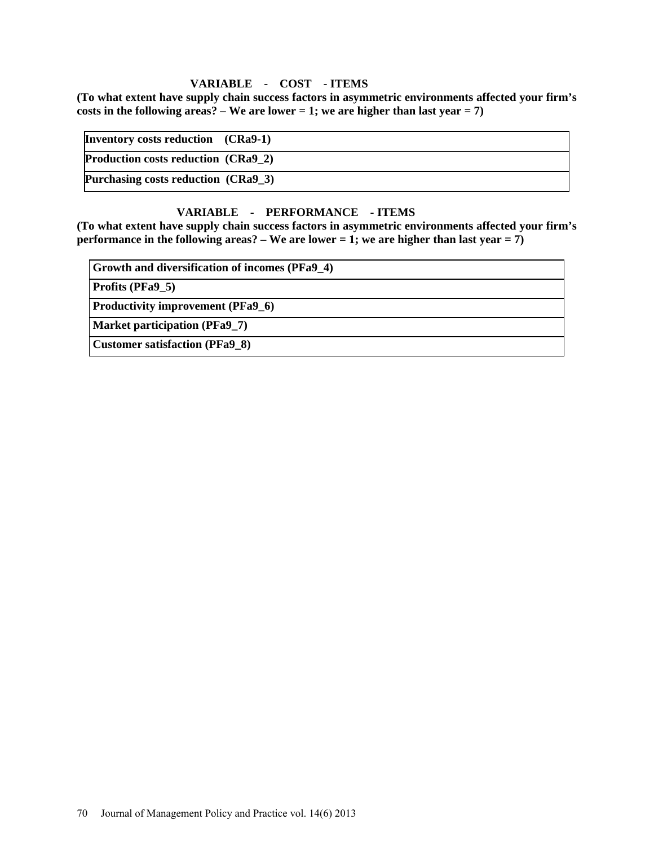# **VARIABLE - COST - ITEMS**

**(To what extent have supply chain success factors in asymmetric environments affected your firm's**  costs in the following areas?  $-$  We are lower  $= 1$ ; we are higher than last year  $= 7$ )

| Inventory costs reduction (CRa9-1)  |  |
|-------------------------------------|--|
| Production costs reduction (CRa9 2) |  |
| Purchasing costs reduction (CRa9_3) |  |

# **VARIABLE - PERFORMANCE - ITEMS**

**(To what extent have supply chain success factors in asymmetric environments affected your firm's performance in the following areas? – We are lower = 1; we are higher than last year = 7)**

**Growth and diversification of incomes (PFa9\_4)**

**Profits (PFa9\_5)**

**Productivity improvement (PFa9\_6)**

**Market participation (PFa9\_7)**

**Customer satisfaction (PFa9\_8)**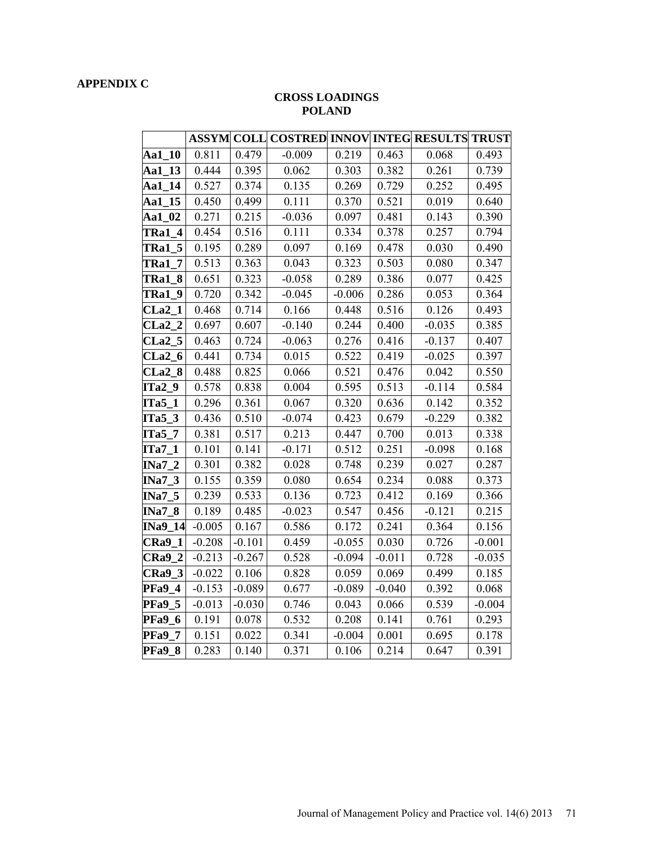# **APPENDIX C**

# **CROSS LOADINGS POLAND**

|                                        |          |          | ASSYM COLL COSTRED INNOV INTEG RESULTS TRUST |          |          |          |          |
|----------------------------------------|----------|----------|----------------------------------------------|----------|----------|----------|----------|
| Aa1 10                                 | 0.811    | 0.479    | $-0.009$                                     | 0.219    | 0.463    | 0.068    | 0.493    |
| Aa1_13                                 | 0.444    | 0.395    | 0.062                                        | 0.303    | 0.382    | 0.261    | 0.739    |
| Aa1_14                                 | 0.527    | 0.374    | 0.135                                        | 0.269    | 0.729    | 0.252    | 0.495    |
| Aa1 15                                 | 0.450    | 0.499    | 0.111                                        | 0.370    | 0.521    | 0.019    | 0.640    |
| Aa1_02                                 | 0.271    | 0.215    | $-0.036$                                     | 0.097    | 0.481    | 0.143    | 0.390    |
| <b>TRa1</b><br>$\overline{\mathbf{4}}$ | 0.454    | 0.516    | 0.111                                        | 0.334    | 0.378    | 0.257    | 0.794    |
| <b>TRa1_5</b>                          | 0.195    | 0.289    | 0.097                                        | 0.169    | 0.478    | 0.030    | 0.490    |
| TRa1<br>$\overline{7}$                 | 0.513    | 0.363    | 0.043                                        | 0.323    | 0.503    | 0.080    | 0.347    |
| <b>TRa1_8</b>                          | 0.651    | 0.323    | $-0.058$                                     | 0.289    | 0.386    | 0.077    | 0.425    |
| 9<br>TRa1                              | 0.720    | 0.342    | $-0.045$                                     | $-0.006$ | 0.286    | 0.053    | 0.364    |
| CLa <sub>2</sub><br>$\mathbf{1}$       | 0.468    | 0.714    | 0.166                                        | 0.448    | 0.516    | 0.126    | 0.493    |
| $CLa2_2$                               | 0.697    | 0.607    | $-0.140$                                     | 0.244    | 0.400    | $-0.035$ | 0.385    |
| $CLa2_5$                               | 0.463    | 0.724    | $-0.063$                                     | 0.276    | 0.416    | $-0.137$ | 0.407    |
| CLa2 <sub>6</sub>                      | 0.441    | 0.734    | 0.015                                        | 0.522    | 0.419    | $-0.025$ | 0.397    |
| $CLa2_8$                               | 0.488    | 0.825    | 0.066                                        | 0.521    | 0.476    | 0.042    | 0.550    |
| $ITa2_9$                               | 0.578    | 0.838    | 0.004                                        | 0.595    | 0.513    | $-0.114$ | 0.584    |
| $ITa5_1$                               | 0.296    | 0.361    | 0.067                                        | 0.320    | 0.636    | 0.142    | 0.352    |
| $ITa5_3$                               | 0.436    | 0.510    | $-0.074$                                     | 0.423    | 0.679    | $-0.229$ | 0.382    |
| $ITa5_7$                               | 0.381    | 0.517    | 0.213                                        | 0.447    | 0.700    | 0.013    | 0.338    |
| $ITa7_1$                               | 0.101    | 0.141    | $-0.171$                                     | 0.512    | 0.251    | $-0.098$ | 0.168    |
| $INa7_2$                               | 0.301    | 0.382    | 0.028                                        | 0.748    | 0.239    | 0.027    | 0.287    |
| $INa7_3$                               | 0.155    | 0.359    | 0.080                                        | 0.654    | 0.234    | 0.088    | 0.373    |
| $INa7_5$                               | 0.239    | 0.533    | 0.136                                        | 0.723    | 0.412    | 0.169    | 0.366    |
| $INa7_8$                               | 0.189    | 0.485    | $-0.023$                                     | 0.547    | 0.456    | $-0.121$ | 0.215    |
| <b>INa9_14</b>                         | $-0.005$ | 0.167    | 0.586                                        | 0.172    | 0.241    | 0.364    | 0.156    |
| $CRa9_1$                               | $-0.208$ | $-0.101$ | 0.459                                        | $-0.055$ | 0.030    | 0.726    | $-0.001$ |
| $CRa9_2$                               | $-0.213$ | $-0.267$ | 0.528                                        | $-0.094$ | $-0.011$ | 0.728    | $-0.035$ |
| <b>CRa9 3</b>                          | $-0.022$ | 0.106    | 0.828                                        | 0.059    | 0.069    | 0.499    | 0.185    |
| <b>PFa9_4</b>                          | $-0.153$ | $-0.089$ | 0.677                                        | $-0.089$ | $-0.040$ | 0.392    | 0.068    |
| <b>PFa9_5</b>                          | $-0.013$ | $-0.030$ | 0.746                                        | 0.043    | 0.066    | 0.539    | $-0.004$ |
| <b>PFa9_6</b>                          | 0.191    | 0.078    | 0.532                                        | 0.208    | 0.141    | 0.761    | 0.293    |
| <b>PFa9 7</b>                          | 0.151    | 0.022    | 0.341                                        | $-0.004$ | 0.001    | 0.695    | 0.178    |
| <b>PFa9 8</b>                          | 0.283    | 0.140    | 0.371                                        | 0.106    | 0.214    | 0.647    | 0.391    |